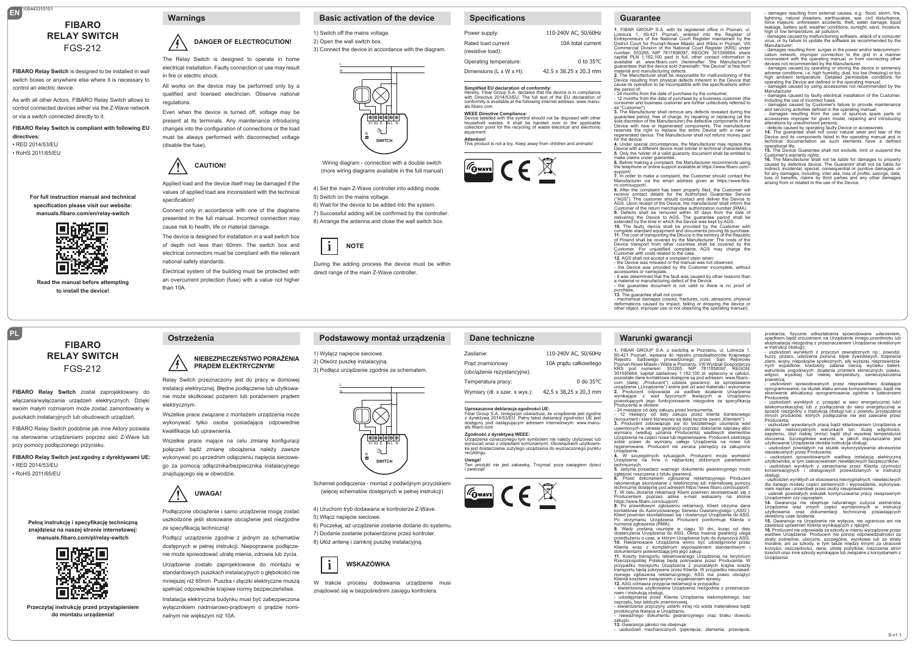# **EN** 105443310101 **FIBARO RELAY SWITCH** FGS-212

**FIBARO Relay Switch** is designed to be installed in wall switch boxes or anywhere else where it is necessary to control an electric device.

As with all other Actors, FIBARO Relay Switch allows to control connected devices either via the Z-Wave network or via a switch connected directly to it.

**FIBARO Relay Switch is compliant with following EU directives:** • RED 2014/53/EU

• RoHS 2011/65/EU

**PL**

**For full instruction manual and technical specification please visit our website: manuals.fibaro.com/en/relay-switch**



**Read the manual before attempting to install the device!**

> **FIBARO RELAY SWITCH** FGS-212

**FIBARO Relay Switch** został zaprojektowany do włączania/wyłączania urządzeń elektrycznych. Dzięki swoim małym rozmiarom może zostać zamontowany w puszkach instalacyjnych lub obudowach urządzeń. FIBARO Relay Switch podobnie jak inne Aktory pozwala na sterowanie urządzeniami poprzez sieć Z-Wave lub

przy pomocy podłączonego przycisku.

• RED 2014/53/EU • RoHS 2011/65/EU

> **Pełną instrukcję i specyfikację techniczną znajdziesz na naszej stronie internetowej: manuals.fibaro.com/pl/relay-switch**

**FIBARO Relay Switch jest zgodny z dyrektywami UE:**

**Przeczytaj instrukcję przed przystąpieniem do montażu urządzenia!**



**Warnings**

/•}`

# **DANGER OF ELECTROCUTION!**

 The Relay Switch is designed to operate in home electrical installation. Faulty connection or use may result in fire or electric shock.

All works on the device may be performed only by a qualified and licensed electrician. Observe national regulations.

Even when the device is turned off, voltage may be present at its terminals. Any maintenance introducing changes into the configuration of connections or the load must be always performed with disconnected voltage (disable the fuse).

### **! CAUTION!**

 values of applied load are inconsistent with the technical Applied load and the device itself may be damaged if the specification!

Connect only in accordance with one of the diagrams presented in the full manual. Incorrect connection may cause risk to health, life or material damage.

The device is designed for installation in a wall switch box of depth not less than 60mm. The switch box and electrical connectors must be compliant with the relevant national safety standards.

Electrical system of the building must be protected with an overcurrent protection (fuse) with a value not higher than 10A.

1) Switch off the mains voltage.

L N

2) Open the wall switch box. 3) Connect the device in accordance with the diagram.

**Basic activation of the device**



Wiring diagram - connection with a double switch (more wiring diagrams available in the full manual)

4) Set the main Z-Wave controller into adding mode. 5) Switch on the mains voltage. 6) Wait for the device to be added into the system. 7) Successful adding will be confirmed by the controller. 8) Arrange the antenna and close the wall switch box.



L N

 direct range of the main Z-Wave controller. During the adding process the device must be within

**Podstawowy montaż urządzenia**

### **Specifications**

| Power supply:                           | 110-240V AC, 50/60Hz               |
|-----------------------------------------|------------------------------------|
| Rated load current<br>(resistive load): | 10A total current                  |
| Operating temperature:                  | $0$ to 35 $\degree$ C              |
| Dimensions (L x W x H):                 | $42.5 \times 38.25 \times 20.3$ mm |
|                                         |                                    |

**Simplified EU declaration of conformity:**<br>Hereby, Fibar Group S.A. declares that the device is in compliance<br>with Directive 2014/53/EU. The full text of the EU declaration of conformity is available at the following internet address: www.manu-<br>als.fibaro.com<br>WEEE Directive Compliance:

**WEEE Directive Compliance:**<br>Device labelled with this symbol should not be disposed with other<br>household wastes. It shall be handed over to the applicable<br>collection point for the recycling of waste electrical and electro equipment **Attention!** This product is not a toy. Keep away from children and animals!





**Guarantee**

**1.** FIBAR GROUP S.A. with its registered office in Poznan, ul. Lotnicza 1, 60-421 Poznań, entered into the Register of Entrepreneurs of the National Court Register maintained by the District Court for Poznań-Nowe Miasto and Wilda in Poznań, VIII Commercial Division of the National Court Register (KRS) under number: 553265, NIP 7811858097, REGON: 301595664, share capital PLN 1,182,100 paid in full, other contact information is available at: www.fibaro.com (hereinafter "the Manufacturer")<br>quarantees that the device sold (hereinaftr: "the Device" is free from

- damages resulting from external causes, e.g.: flood, storm, fire, lightning, natural disasters, earthquakes, war, civil disturbance, force majeure, unforeseen accidents, theft, water damage, liquid leakage, battery spill, weather conditions, sunlight, sand, moisture,<br>high or low temperature, air pollution;<br>- damages caused by malfunctioning software, attack of a computer<br>virus, or by failure to update the software as Manufacturer; - damages resulting from: surges in the power and/or telecommunication network, improper connection to the grid in a manner inconsistent with the operating manual, or from connecting other devices not recommended by the Manufacturer. - damages caused by operating or storing the device in extremely<br>adverse conditions, i.e. high humidity, dust, too low (freezing) or too<br>high ambient temperature. Detailed permissible conditions for<br>operating the Device ar - damages caused by using accessories not recommended by the Manufacturer wanulacturer<br>- damages caused by faulty electrical installation of the Customer including the use of incorrect fuses;<br>- damages caused by Customer's failure to provide maintenance - damages caused by Customer's failure to provide maintenance<br>and servicing activities defined in the operating manual;<br>- damages resulting from the use of spurious spare parts or<br>accessories improper for given model, repa - defects caused by operating faulty Device or accessories. **14.** The guarantee shall not cover natural wear and tear of the Device and its components listed in the operating manual and in technical documentation as such elements have a defined<br>operational.life operational life. **15.** The Device Guarantee shall not exclude, limit or suspend the Customer's warranty rights.<br>**16.** The Manufacturer shall not be liable for damages to property<br>caused by defective device. The Guarantor shall not be liable for indirect, incidental, special, consequential or punitive damages, or for any damages, including, inter alia, loss of profits, savings, data, loss of benefits, claims by third parties and any other damages

arising from or related to the use of the Device.

przetarcia, fizyczne odkształcenia spowodowane uderzeniem, upadkiem bądź zrzuceniem na Urządzenie innego przedmiotu lub eksploatacją niezgodną z przeznaczeniem Urządzenia określonym w instrukcji obsługi); - uszkodzeń wynikłych z przyczyn zewnętrznych np.: powodzi, burzy, pożaru, uderzenia pioruna, klęsk żywiołowych, trzęsienia<br>ziemi, wojny, niepokojów społecznych, siły wyższej, nieprzewidzia-<br>nych wypadków, kradzieży, zalania cieczą, wycieku baterii, warunków pogodowych; działania promieni słonecznych, piasku, wilgoci, wysokiej lub niskiej temperatury, zanieczyszczenia powietrza; - uszkodzeń spowodowanych przez nieprawidłowo działające oprogramowanie, na skutek ataku wirusa komputerowego, bądź nie stosowanie aktualizacji oprogramowania zgodnie z zaleceniami

- uszkodzeń wynikłych z: przepięć w sieci energetycznej lub/i telekomunikacyjnej lub z podłączenia do sieci energetycznej w sposób niezgodny z instrukcją obsługi lub z powodu przyłączenia innych produktów, których podłączanie nie jest zalecane przez Producenta; - uszkodzeń wywołanych pracą bądź składowaniem Urządzenia w skrajnie niekorzystnych warunkach tzn. dużej wilgotności, zapyleniu, zbyt niskiej (mróz) bądź zbyt wysokiej temperaturze otoczenia. Szczegółowe warunki, w jakich dopuszczalne jest użytkowanie Urządzenia określa instrukcja obsługi; - uszkodzeń powstałych na skutek wykorzystywania akcesoriów niezalecanych przez Producenta;<br>- uszkodzeń spowodowanych wadliwą instalacją elektryczną<br>użytkownika, w tym zastosowaniem niewłaściwych bezpieczników;<br>- uszkodzeń wynikłych z zaniechania przez Kilenta czynności<br>konserwacyj

- uszkodzeń wynikłych ze stosowania nieoryginalnych, niewłaściwych dla danego modelu części zamiennych i wyposażenia, wykonywa-

niem napraw i przeróbek przez osoby nieupoważnione;<br>– usterek powstałych wskutek kontynuowania pracy niesprawnym<br>Urządzeniem czy osprzętem.<br>14. Gwarancja nie obejmuje naturalnego zużycia elementów<br>Urządzenia oraz dokumenta

**15.** Gwarancja na Urządzenie nie wyłącza, nie ogranicza ani nie zawiesza uprawnień Klienta wynikających z rękojmi.<br>18. Producent nie odpowiada za szkody w mieniu wyrządzone przez<br>wadliwe Urządzenie. Producent nie ponosi odpowiedzialności za straty<br>pośrednie, uboczne, szczególne, wyniko

S-v1.1

Producenta;

obsługi;

Urządzenia.

określony czas działania.

guarantees that the device sold (hereinaftr: "the Device" is free from<br>material and manufacturing defects.<br>2. The Manufacturer shall be responsible for malfunctioning of the<br>Device resulting from physical defects inherent the period of:

are period is:<br>- 24 months from the date of purchase by the consumer,<br>- 12 months from the date of purchase by a business customer (the - 12 months from the date of purchase by a business customer (the consumer and business customer are further collectively referred to

as "Customer"). **3.** The Manufacturer shall remove any defects revealed during the guarantee period, free of charge, by repairing or replacing (at the sole discretion of the Manufacturer) the defective components of the Device with new or regenerated components. The manufacture reserves the right to replace the entire Device with a new or regenerated device. The Manufacturer shall not refund money paid

for the device.<br>4. Under special circumstances, the Manufacturer may replace the<br>Device with a different device most similar in technical characteristics.<br>5. Only the holder of a valid guaranty document shall be entitled t

make claims under guarantee. **6.** Before making a complaint, the Manufacturer recommends using the telephone or online support available at https://www.fibaro.com/-

support/. **7.** In order to make a complaint, the Customer should contact the Manufacturer via the email address given at https://www.fiba-

ro.com/support/.<br>8. After the complaint has been properly filed, the Customer will<br>receive contact details for the Authorized Guarantee Service<br>("AGS"). The customer should contact and deliver the Device to<br>AGS. Upon recei Customer of the return merchandise authorization number (RMA).<br>
O. Defects shall be removed within 30 days from the date of<br>
elvivering the Device to AGS. The guarantee period shall be<br>
extended by the finite in which the

of Poland shall be covered by the Manufacturer. The costs of the Device transport from other countries shall be covered by the Customer. For unjustified complaints, AGS may charge the Customer with costs related to the case.<br>12 AGS shall not accept a complaint claim when

12. AGS shall not accept a complaint claim when:<br>- the Device was misused or the manual was not observed,<br>- the Device was provided by the Customer incomplete, without<br>accessories or nameplate,<br>- it was determined that the

a material or manufacturing defect of the Device - the guarantee document is not valid or there is no proof of

purchase,<br>13. The guarantee shall not cover:<br>- mechanical damages (cracks, fractures, cuts, abrasions, physical<br>deformations caused by impact, falling or dropping the device or<br>other object, improper use or not observing t

### **Warunki gwarancji**

1. FIBAR GROUP S.A. z siedzibą w Poznaniu, ul. Lotnicza 1,<br>60-421 Poznań, wpisana do rejestru przedsiębiorców Krajowego<br>Rejestru Sądowego prowadzonego przez Sąd Rejenowy<br>Poznań-Nowe Miasto i Wildaw Poznaniu, VIII Wydział G com (dalej: "Producent") udziela gwarancji, że sprzedawane<br>urządzenie ("Urządzenie") wolne jest od wad materiału i wykonania.

2. Producent odpowiada za wadliwe działanie Urządzenia<br>wynikające z wad fizycznych tkwiących w Urządzeniu<br>powodujących jego funkcjonowanie niezgodne ze specyfikacją<br>Producenta wokresie:<br>- 42 miesiące od daty zakupu przez k **3.** Producent zobowiązuje się do bezpłatnego usunięcia wad ujawnionych w okresie gwarancji poprzez dokonanie naprawy albo

technicznych.<br>5. Jedynie posiadacz ważnego dokumentu gwarancyjnego może

5. Jedynie posiadacz ważnego dokumentu gwarancyjnego może<br>zglaszać roszczenia z tytułu gwarancji.<br>6. Przed dokonaniem zgłoszenia reklamacyjnego Producent<br>rekomenduje skorzystanie z telefonicznej lub internetowej pomocy<br>tec

https://www.fibaro.com/support/.<br>8. Po prawidłowym zgłoszeniu reklamacji, Klient otrzyma dane<br>Kontaktowe do Autoryzowanego Serwisu Gwarancyjnego ("ASG")<br>Klient powinien skontaktować się i dostarczyć Urządzenie do ASG.<br>Po o

**9.** Wady zostaną usunięte w ciągu 30 dni, licząc od daty<br>dostarczenia Urządzenia do ASG. Okres trwania gwarancji ulega<br>przedłużeniuoczas, w którym Urządzenie było do dyspozycji ASG.<br>10. Reklamowane Urządzenie winno być ud Klienta wraz z kompletnym wyposażeniem standardowym i<br>dokumentami.potwierdzającymi.jego.zakup.

**12.** ASG odmawia przyjęcia reklamacji w przypadku:

- stwierdzenia użytkowania Urządzenia nieźgodnie z przeznacze-<br>niem i instrukcia obsługi.

niem i instrukcją obsługi,<br>- udostępnienia przez Klienta Urządzenia niekompletnego, bez<br>osprzętu, bez tabliczki znamionowej,<br>- stwierdzenia przyczyny usterki innej niż wada materiałowa bądź<br>produkcyjna tkwiąca w Urządzeniu

- nieważnego dokumentu gwarancyjnego oraz braku dowodu

uszkodzeń mechanicznych (pęknięcia, złamania, przecięcia,

**Ostrzeżenia**

### **NIEBEZPIECZEŃSTWO PORAŻENIA PRĄDEM ELEKTRYCZNYM!**

 Relay Switch przeznaczony jest do pracy w domowej instalacji elektrycznej. Błędne podłączenie lub użytkowanie może skutkować pożarem lub porażeniem prądem elektrycznym.

Wszelkie prace związane z montażem urządzenia może wykonywać tylko osoba posiadająca odpowiednie kwalifikacje lub uprawnienia.

Wszelkie prace mające na celu zmianę konfiguracji połączeń bądź zmianę obciążenia należy zawsze wykonywać po uprzednim odłączeniu napięcia sieciowego za pomocą odłącznika/bezpiecznika instalacyjnego znajdującego się w obwodzie.

**! UWAGA!** 

 uszkodzone jeśli stosowane obciążenie jest niezgodne Podłączone obciążenie i samo urządzenie mogą zostać ze specyfikacia techniczna!

Podłącz urządzenie zgodnie z jednym ze schematów dostępnych w pełnej instrukcji. Niepoprawne podłączenie może spowodować utratę mienia, zdrowia lub życia. Urządzenie zostało zaprojektowane do montażu w standardowych puszkach instalacyjnych o głębokości nie mniejszej niż 60mm. Puszka i złączki elektryczne muszą spełniać odpowiednie krajowe normy bezpieczeństwa. Instalacja elektryczna budynku musi być zabezpieczona wyłącznikiem nadmiarowo-prądowym o prądzie nominalnym nie większym niż 10A.

1) Wyłącz napięcie sieciowe. 2) Otwórz puszkę instalacyjną. 3) Podłącz urządzenie zgodnie ze schematem.



Schemat podłączenia - montaż z podwójnym przyciskiem (więcej schematów dostępnych w pełnej instrukcji)

4) Uruchom tryb dodawana w kontrolerze Z-Wave. 5) Włącz napięcie sieciowe. 6) Poczekaj, aż urządzenie zostanie dodane do systemu. 7) Dodanie zostanie potwierdzone przez kontroler. 8) Ułóż antenę i zamknij puszkę instalacyjną.



 znajdować się w bezpośrednim zasięgu kontrolera. W trakcie procesu dodawania urządzenie musi

# Temperatura pracy: Wymiary (dł. x szer. x wys.): **Uproszczona deklaracja zgodności UE:**<br>Fibar Group S.A. niniejszym oświadcza, że urządzenie jest zgodne<br>z dyrektywą 2014/53/EU. Pełny tekst deklaracji zgodności UE jest<br>dostępny pod następującym adresem internetowym: www.m als.fib **Zgodność z dyrektywą WEEE:**

Urządzenia oznaczonego tym symbolem nie należy utylizować lub wyrzucać wraz z odpadami komunalnymi. Obowiązkiem użytkowni-ka jest dostarczenie zużytego urządzenia do wyznaczonego punktu recyklingu. **Uwaga!**

**Dane techniczne**

Zasilanie: Prąd znamionowy (obciążenie rezystancyjne):

Ten produkt nie jest zabawką. Trzymać poza zasięgiem dzieci i zwierząt





110-240V AC, 50/60Hz 10A prądu całkowitego

42,5 x 38,25 x 20,3 mm

0 do 35°C

wymiany (według uznania Producenta) wadliwych elementów<br>Urządzenia na części nowe lub regenerowane. Producent zastrzega<br>sobie prawo do wymiany całego Urządzenia na nowe lub<br>regenerowane. Producent nie zwraca pieniędzy za z Urządzenie.<br>**4. W szczególnych sytuacjach, Producent może wymienić**<br>Urządzenie na inne o najbardziej zbliżonych parametrach

dokumentami potwierdzającymi jego zakup.<br>11. Koszty transportu reklamowanego Urządzenia na terytorium<br>Rzeczpospolitej Polskiej będą pokrywane przez Producenta. W<br>przypadku transportu Urządzenia z pozostałych krajów koszty<br>

zakupu. **13.** Gwarancja jakości nie obejmuje: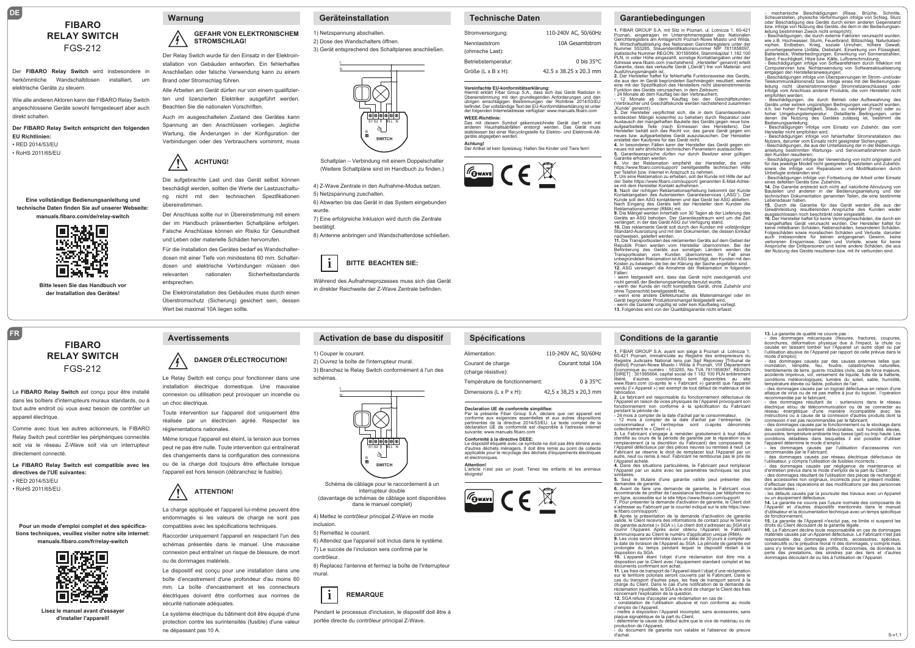# **FIBARO RELAY SWITCH** FGS-212

Der **FIBARO Relay Switch** wird insbesondere in herkömmliche Wandschaltdosen installiert, um elektrische Geräte zu steuern.

Wie alle anderen Aktoren kann der FIBARO Relay Switch angeschlossene Geräte sowohl ferngesteuert aber auch direkt schalten.

**Der FIBARO Relay Switch entspricht den folgenden EU Richtlinien:** • RED 2014/53/EU

• RoHS 2011/65/EU

**DE**

**Eine vollständige Bedienungsanleitung und technische Daten finden Sie auf unserer Webseite: manuals.fibaro.com/de/relay-switch**



**Bitte lesen Sie das Handbuch vor der Installation des Gerätes!**

#### **Warnung**

#### **GEFAHR VON ELEKTRONISCHEM STROMSCHLAG!**

 Der Relay Switch wurde für den Einsatz in der Elektroinstallation von Gebäuden entworfen. Ein fehlerhaftes Anschließen oder falsche Verwendung kann zu einem Brand oder Stromschlag führen.

Alle Arbeiten am Gerät dürfen nur von einem qualifizierten und lizenzierten Elektriker ausgeführt werden. Beachten Sie die nationalen Vorschriften.

Auch im ausgeschalteten Zustand des Gerätes kann Spannung an den Anschlüssen vorliegen. Jegliche Wartung, die Änderungen in der Konfiguration der Verbindungen oder des Verbrauchers vornimmt, muss



 beschädigt werden, sollten die Werte der Lastzuschaltu-Die aufgebrachte Last und das Gerät selbst können ng nicht mit den technischen Spezifikationen übereinstimmen.

Der Anschluss sollte nur in Übereinstimmung mit einem der im Handbuch präsentierten Schaltpläne erfolgen. Falsche Anschlüsse können ein Risiko für Gesundheit und Leben oder materielle Schäden hervorrufen.

Für die Installation des Gerätes bedarf es Wandschalterdosen mit einer Tiefe von mindestens 60 mm. Schalterdosen und elektrische Verbindungen müssen den relevanten nationalen Sicherheitsstandards entsprechen.

Die Elektroinstallation des Gebäudes muss durch einen Überstromschutz (Sicherung) gesichert sein, dessen Wert bei maximal 10A liegen sollte.

#### **Geräteinstallation**

N

1) Netzspannung abschalten. 2) Dose des Wandschalters öffnen. 3) Gerät entsprechend des Schaltplanes anschließen.



Schaltplan – Verbindung mit einem Doppelschalter (Weitere Schaltpläne sind im Handbuch zu finden.)

4) Z-Wave Zentrale in den Aufnahme-Modus setzen. 5) Netzspannung zuschalten. 6) Abwarten bis das Gerät in das System eingebunden

wurde. 7) Eine erfolgreiche Inklusion wird durch die Zentrale

bestätigt.

8) Antenne anbringen und Wandschalterdose schließen.



 in direkter Reichweite der Z-Wave Zentrale befinden. Während des Aufnahmeprozesses muss sich das Gerät

#### **Technische Daten**

| Stromversorgung:                 | 110-240V AC, 50/60Hz   |
|----------------------------------|------------------------|
| Nennlaststrom<br>(ohmsche Last): | 10A Gesamtstrom        |
| Betriebstemperatur:              | 0 bis $35^{\circ}$ C   |
| Größe (L x B x H):               | 42.5 x 38.25 x 20.3 mm |

Vereinfachte EU-konformitätserklärung:<br>Hiermit erklärt Fibar Group S.A., dass sich das Gerät Radiolan in<br>Übereinstimmung mit den grundlegenden Anforderungen und den<br>übirgen einschlägigen Bestimmungen der Richtlinie 2014/53

WEEE-Richtlinie:<br>Das mit diesem Symbol gekennzeichnete Gerät darf nicht mit<br>anderen Haushaltsabfällen entsorgt werden. Das Gerät muss<br>statidessen bei einer Recyclingstelle für Elektro- und Elektronik-Alt-<br>geräte abgegeben

**Achtung!**<br>Der Artikel ist kein Spielzeug. Halten Sie Kinder und Tiere fern!



**Spécifications**

Température de fonctionnement: Dimensions (L x P x H):

**Declaration UE de conformite simplifiee:** Par la présente Fibar Group S.A. déclare que cet appareil est<br>conforme aux exigences essentielles et aux autres dispositions<br>pertinentes de la directive 2014/53/EU. Le texte complet de la<br>déclaration UE de conformité est d **Conformité à la directive DEEE:** Le dispositif étiqueté avec ce symbole ne doit pas être éliminé avec<br>d'autres déchets ménagers. Il doit être remis au point de collecte<br>applicable pour le recyclage des déchets d'équipements électriques

L'article n'est pas un jouet. Tenez les enfants et les animaux

 $\boxed{\pi_{\text{Gwave}}}$   $\in \mathbb{R}$ 

110-240V AC, 50/60Hz Courant total 10A

42,5 x 38,25 x 20,3 mm

0 à 35°C

Alimentation: Courant de charge (charge résistive):

et électroniques. **Attention!**

éloignés!





**Garantiebedingungen**

**1.** FIBAR GROUP S.A. mit Sitz in Poznań, ul. Lotnicza 1, 60-421 Poznań, eingetragen im Unternehmerregister des Nationalen Gerichtsregisters am Amtsgericht Poznań-Nowe Miasto und Wilda, 8. Wirtschaftsabteilung des Nationalen Gerichtsregisters unter der Nummer 553265, Steueridentifikationsnummer NIP 7811858097, statistische Nummer REGON: 301595664, Stammkapital 1.182.100<br>PLN, in voller Höhe eingezahlt, sonstige Kontaktangaben unter der<br>Adresse www.fibaro.com (nachstehend: "Hersteller" genannt) erteilt<br>Garantie, dass das verkaufte Ausführungsmängeln ist. **2.** Der Hersteller haftet für fehlerhafte Funktionsweise des Geräts,

die aus den im Gerät begründeten Sachmängeln resultiert, welche<br>eine mit der Spezifikation des Herstellers nicht übereinstimmende

eine mit der Spezifikation des Herstellers nicht übereinstimmende<br>Funktion des Geräts verursachen, in dem Zeitraum:<br>- 41 Monate ab dem Kauftag bei den Verbrauchern,<br>- 12 Monate ab dem Kauftag bei den Geschäftskund

"Kunde" genannt).<br>**3.** Der Hersteller verpflichtet sich, die in dem Garantiezeitraum entdeckten Mängel kostenfrei zu beheben durch Reparatur oder<br>Austausch der mangelhaften Bauteile des Geräts gegen neue bzw.<br>aufgearbeitete Teile (nach Ermessen des Herstellers). Der<br>Hersteller behält sich das Recht vor, da

**4.** In besonderen Fällen kann der Hersteller das Gerät gegen ein<br>neues mit sehr ähnlichen technischen Parametern austauschen.<br>**5.** Garantieansprüche dürfen nur durch Besitzer einer gültigen

Garantie erhoben werden.<br>6. Vor der Reklamation empfiehlt der Hersteller, die unter

6. Vor der Reklamation empfiehlt der Hersteller, die unter<br>https://www.fibaro.com/support/`bereitgestellte technischen Hilfe<br>per Telefon bzw. Internet in Anspruch zu nehmen.<br>7. Um eine Reklamation zu erheben, soll der Kund

se mit dem Hersteller Kontakt aufnehmen. .<br>**8.** Nach der richtigen Reklamationserhebung bekommt der Kunde<br>Kontaktangaben des Autorisierten Garantieservices ("ASG"). Der Kunde soll den ASG kontaktieren und das Gerät bei ASG abliefern. Nach Eingang des Geräts teilt der Hersteller dem Kunden die Reklamationsnummer (RMA) mit.

**9.** Die Mängel werden innerhalb von 30 Tagen ab der Lieferung des<br>Geräts an ASG behoben. Der Garantiezeitraum wird um die Zeit<br>verlängert, in der das Gerät ASG zur Verfügung stand.

**10.** Das reklamierte Gerät soll durch den Kunden mit vollständiger<br>Standard-Ausrüstung und mit den Dokumenten, die dessen Einkauf nachweisen, geliefert werden. **11. Die Transportkosten des reklamierten Geräts auf dem Gebiet der Republik. Polen werden vom Hersteller übernommen. Bei der** Republik Polen werden vom Hersteller übernommen. Bei der<br>Beförderung des Geräts aus sonstigen Ländern werden die<br>Transportkosten vom Kunden übernommen. Im Fall einer<br>unbegründetenReklamationist/ASC berechtigt, den Kunden m **12.** ASG verweigert die Annahme der Reklamation in folgenden<br>Fällen:

- wenn festgestellt wird, dass das Gerät nicht zweckgemäß und nicht gemäß der Bedienungsanleitung benutzt wurde, - wenn der Kunde ein nicht komplettes Gerät, ohne Zubehör und

ohne Typenschild bereitgestellt hat,<br>- wenn eine andere Defektursache als Materialmangel oder im<br>Gerät begründeter Produktionsmangel festgestellt wird,<br>- wenn die Garantie ungültig ist oder kein Kaufbeleg vorliegt.<br>13. Fol

#### **Conditions de la garantie**

1. FIBAR GROUP S.A. ayant son siège à Poznań ul. Lotnicza 1;<br>60-421 Poznań, immatriculée au Registre des entrepreneurs du<br>Registre Judiciaire National tenu par Sąd Rejonowy [Tribunal de<br>district] Poznań-Nowe Miasto i Wilda Économique au numéro : 553265, No TVA 7811858097, REGON [SIRET] : 301595664, capital social de 1 182 100 PLN entièrement libéré, d'autres coordonnées sont disponibles au site www.fibaro.com (ci-après le « Fabricant ») garantit que l'appareil vendu (l'« Appareil ») est exempt de tout défaut de matériaux et de fabrication.

**2.** Le fabricant est responsable du fonctionnement défectueux de l'Appareil en raison de vices physiques de l'Appareil provoquant son fonctionnement non conforme à la spécification du Fabricant

pendant la période de :<br>
- 24 mois à compter de la date d'achat par le consommateur,<br>
- 12 mois à compter de la date d'achat par l'entreprise, (le<br>
consommateur de l'entreprise sont di-après<br>
collectivement le « Client »), Fabricant se réserve le droit de remplacer tout l'Appareil par un autre, neuf ou remis à neuf. Fabricant ne rembourse pas le prix de<br>'Appareil acheté

l'Appareil acheté. **4.** Dans des situations particulières, le Fabricant peut remplacer l'Appareil par un autre avec les paramètres techniques les plus

similaires. **5.** Seul le titulaire d'une garantie valide peut présenter des demandes de garantie. **6.** Avant de faire une demande de garantie, le Fabricant vous

recommande de profiter de l'assistance technique par téléphone ou en ligne, accessible sur le site https://www.fibaro.com/support/. **7.** Pour présenter la demande d'activation de garantie, le Client doit s'adresser au Fabricant par le courriel indiqué sur le site https://ww-<br>w.fibaro.com/support/.<br>**8.** Après la présentation de la demande d'activation de garantie

valide, le Client recevra des informations de contact pour le Service de garantie autorisé (« SGA »). Le client doit s'adresser au SGA et y fournir l'Appareil. Après avoir obtenu l'Appareil, le Fabricant communiquera au Client le numéro d'application unique (RMA). **9.** Les vices seront éliminés dans un délai de 30 jours à compter de la date de livraison de l'Appareil au SGA. La période de garantie est

prolongée du temps pendant lequel le dispositif restait à la<br>disposition du SGA.<br>**10.** L'appareil étant l'objet d'une réclamation doit être mis à<br>disposition par le Client avec l'équipement standard complet et les

documents confirmant son achat. **11.** Les frais de transport de l'Appareil étant l'objet d'une réclamation sur le territoire polonais seront couverts par le Fabricant. Dans le<br>cas du transport d'autres pays, les frais de transport seront à la<br>charge du Client. Dans le cas d'une notification de la demande de<br>rédamation injustifi

d'emploi de l'Appareil, - mettre à disposition l'Appareil incomplet, sans accessoires, sans plaque signalétique de la part du Client,

- déterminer la cause du défaut autre que le vice de matériau ou de

production de l'Appareil, - du document de garantie non valable et l'absence de preuve d'achat.

- mechanische Beschädigungen (Risse, Brüche, Schnitte, Scheuerstellen, physische Verformungen infolge von Schlag, Sturz oder Beschädigung des Geräts durch einen anderen Gegenstand<br>bzw. infolge von Nutzung des Geräts, die dem in der Bedienungsan-<br>leitung bestimmten Zweck nicht entspricht);

- Beschädigungen, die durch externe Faktoren verursacht wurden,<br>wie z.B. Hochwasser, Sturm, Feuerbrand, Blitzschlag, Naturkatast-<br>rophen, Erdbeben, Krieg, soziale Unruhen, höhere Gewalt,<br>unvorhergesehene Unfälle, Diebstahl Batterieleck, Wetterbedingungen, Einwirkung von Sonnenstrahlen, Sand, Feuchtigkeit, Hitze bzw. Kälte, Luftverschmutzung; - Beschädigungen infolge von Softwarefehlern durch Infektion mit Computerviren bzw. Nichtanwendung von Softwareaktualisierung

entgegen den Herstelleranweisungen;<br>- Beschädigungen infolge von Überspannungen im Strom- und/oder<br>- Beschädigungen infolge von Überspannungen int der Bedienungsan-<br>leitung - nicht - übereinstimmenden - Stromnetzanschlusse empfohlen werden; - Beschädigungen, die durch Betrieb oder Aufbewahrung des

Geräts unter extrem ungünstigen Bedingungen verursacht wurden, d.h. bei hoher Feuchtigkeit, Staub, zu niedriger (Frost) oder zu hoher Umgebungstemperatur. Detaillierte Bedingungen, unter<br>denen die Nutzung des Gerätes zulässig ist, bestimmt die<br>Bedienungsanleitung;<br>- Beschädigungen infolge vom Einsatz von Zubehör, das vom<br>Herstellernicht empfohlen w

- Beschädigungen infolge von fehlerhafter Strominstallation des<br>Nutzers, darunter vom Einsatz nicht geeigneter Sicherungen;<br>- Beschädigungen, die aus der Unterlassung der in der Bedienungs-<br>anleitung bestimmten Wartungs- u

- Beschädigungen infolge der Verwendung von nicht originalen und<br>für das jeweilige Modell nicht geeigneten Ersatzteilen und Zubehör,<br>sowie die infolge von Reparaturen und Modifikationen durch

Unbefugte entstanden sind; - Beschädigungen infolge von Fortsetzung der Arbeit unter Einsatz eines defekten Geräts bzw. Zubehörs. **14.** Die Garantie erstreckt sich nicht auf natürliche Abnutzung von Bauteilen und anderen in der Bedienungsanleitung und der technischen Dokumentation genannten Teilen, die eine bestimmte

Lebensdauer haben.<br>**15.** Durch die Garantie für das Gerät werden die aus der<br>Gewährleistung resultierenden Ansprüche des Kunden weder<br>ausgeschlossen noch beschränkt oder eingestellt.

**16.** Der Hersteller haftet für keine Vermögensschäden, die durch ein mangelhaftes Gerät verursacht wurden. Der Hersteller haftet für keine mittelbaren Schäden, Nebenschäden, besonderen Schäden,<br>Folgeschäden sowie moralischen Schäden und Verluste, darunter<br>auch insbesondere für keinen entgangenen Gewinn, keine<br>verlorenen Ersparnisse, Daten und Vorteile,

- des dommages mécaniques (fissures, fractures, coupures,<br>écorchures, déformation physique due à l'impact, la chute ou<br>causée en laissant tomber sur l'Appareil un autre objet ou par<br>l'utilisation abusive de l'Appareil par mode d'emploi); - des dommages causés par des causes externes telles que: inondation, tempête, feu, foudre, catastrophes naturelles, tremblements de terre, guerre, troubles civils, cas de force majeure,<br>accidents imprévus, vol. versement de liquide, fuite de la batterie accidents imprévus, vol, versement de liquide, fuite de la batterie,<br>conditions météorologiques; lumière du soleil, sable, humidité,<br>température élevée ou faible, pollution de l'air;<br>- des dommages causés par un logiciel d recommandée par le fabricant; - des dommages résultant de : surtensions dans le réseau électrique et/ou de télécommunication ou de se connecter au réseau énergétique d'une manière incompatible avec les<br>instructions ou à cause de la connexion d'autres produits dont la instructions ou à cause de la connexion d'autres produits dont la<br>connexion n'est pas recommandée par le fabricant;<br>- des dommages causés par le fonctionnement ou le stockage dans<br>des conditions extrêmement défavorables, s conditions détaillées dans lesquelles il est possible d'utiliser l'appareil détermine le mode d'emploi ;

- les dommages causés par l'utilisation d'accessoires non<br>recommandés par le Fabricant;<br>- des dommages causés par réseau électrique défectueux de<br>l'utilisateur, y compris l'utilisation de fusibles incorrects ;<br>- des dommag

des accessoires non originaux, incorrects pour le présent modèle, d'effectuer des réparations et des modifications par des personnes

non autonsous ,<br>- les défauts causés par la poursuite des travaux avec un Appareil<br>ou un équipement défectueux ou un équipement défectueux.<br>**14.** La garantie ne couvre pas l'usure normale des composants de<br>l'Appareil et d'autres dispositifs mentionnés dans le manuel<br>d'utilisateur et la documentation technique avec un temps spécifiq

**15.** La garantie de l'Appareil n'exclut pas, ne limite ni suspend les droits du Client découlant de la garantie légale.

16. Le Fabricant décline toute responsabilité en cas de dommages<br>matéries causés par un Appareil défectueux. Le Fabricant n'est pas<br>responsable des dommages indirects, accessoires, spéciaux,<br>consécutifs ou le préjudice mor

S-v1.1

non autorisées ;

de fonctionnement.

**13.** La garantie de qualité ne couvre pas :

# **FIBARO RELAY SWITCH** FGS-212

Le **FIBARO Relay Switch** est conçu pour être installé dans les boîtiers d'interrupteurs muraux standards, ou à tout autre endroit où vous avez besoin de contrôler un appareil électrique

Comme avec tous les autres actionneurs, le FIBARO Relay Switch peut contrôler les périphériques connectés soit via le réseau Z-Wave soit via un interrupteur directement connecté.

**Le FIBARO Relay Switch est compatible avec les directives de l'UE suivantes:** • RED 2014/53/EU

• RoHS 2011/65/EU

**FR**

#### **Pour un mode d'emploi complet et des spécifications techniques, veuillez visiter notre site internet: manuals.fibaro.com/fr/relay-switch**



**Lisez le manuel avant d'essayer d'installer l'appareil!**



**Avertissements**

 Le Relay Switch est conçu pour fonctionner dans une installation électrique domestique. Une mauvaise connexion ou utilisation peut provoquer un incendie ou un choc électrique.

Toute intervention sur l'appareil doit uniquement être réalisée par un électricien agréé. Respecter les

Même lorsque l'appareil est éteint, la tension aux bornes peut ne pas être nulle. Toute intervention qui entraînerait des changements dans la configuration des connexions ou de la charge doit toujours être effectuée lorsque l'appareil est hors tension (débranchez le fusible).

**! ATTENTION!** 

 endommagés si les valeurs de charge ne sont pas La charge appliquée et l'appareil lui-même peuvent être compatibles avec les spécifications techniques.

Raccorder uniquement l'appareil en respectant l'un des schémas présentés dans le manuel. Une mauvaise connexion peut entraîner un risque de blessure, de mort ou de dommages matériels.

Le dispositif est conçu pour une installation dans une boîte d'encastrement d'une profondeur d'au moins 60 mm. La boîte d'encastrement et les connecteurs électriques doivent être conformes aux normes de sécurité nationale adéquates.

Le système électrique du bâtiment doit être équipé d'une protection contre les surintensités (fusible) d'une valeur ne dépassant pas 10 A.

**Activation de base du dispositif**

4) Mettez le contrôleur principal Z-Wave en mode

Schéma de câblage pour le raccordement à un interrupteur double (davantage de schémas de câblage sont disponibles dans le manuel complet)

 $\delta$ S1S2 I MLN **SWITCH**

|ଡ $| \otimes | \otimes | \otimes | \otimes$ 

6) Attendez que l'appareil soit inclus dans le système. 7) Le succès de l'inclusion sera confirmé par le

8) Replacez l'antenne et fermez la boîte de l'interrupteur

Pendant le processus d'inclusion, le dispositif doit être à

 portée directe du contrôleur principal Z-Wave.

**REMARQUE**

1) Couper le courant. 2) Ouvrez la boîte de l'interrupteur mural. 3) Branchez le Relay Switch conformément à l'un des

schémas.

L

inclusion.

contrôleur.

**i**

mural.

5) Remettez le courant.

réglementations nationales.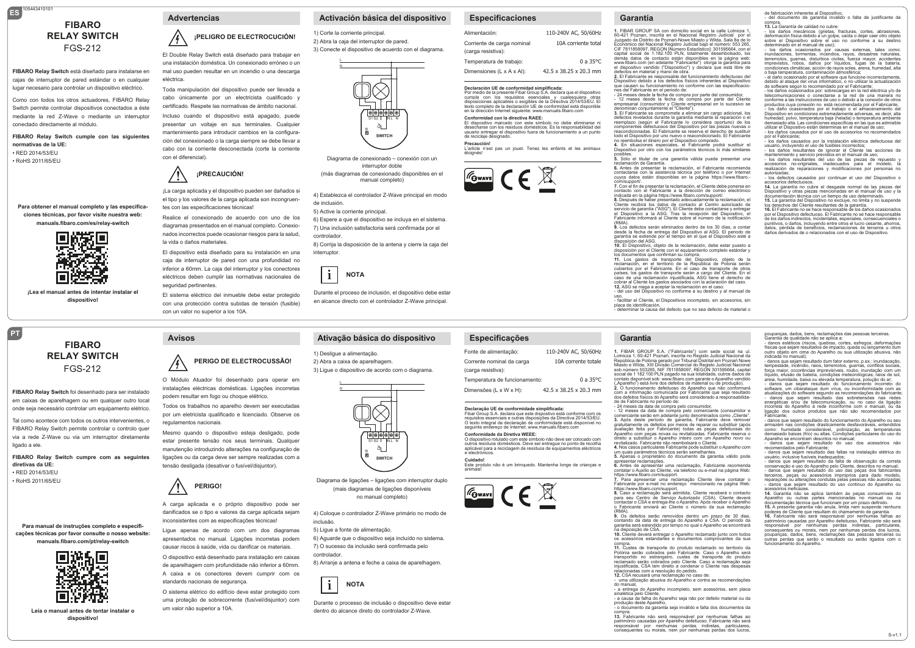# **ES** 105443410101 **FIBARO RELAY SWITCH** FGS-212

**FIBARO Relay Switch** está diseñado para instalarse en cajas de interruptor de pared estándar o en cualquier lugar necesario para controlar un dispositivo eléctrico.

Como con todos los otros actuadores, FIBARO Relay Switch permite controlar dispositivos conectados a éste mediante la red Z-Wave o mediante un interruptor conectado directamente al módulo.

**FIBARO Relay Switch cumple con las siguientes normativas de la UE:** • RED 2014/53/EU • RoHS 2011/65/EU

**Para obtener el manual completo y las especificaciones técnicas, por favor visite nuestra web: manuals.fibaro.com/es/relay-switch**



**¡Lea el manual antes de intentar instalar el dispositivo!**

# **FIBARO RELAY SWITCH** FGS-212

**PT**

**FIBARO Relay Switch** foi desenhado para ser instalado em caixas de aparelhagem ou em qualquer outro local onde seja necessário controlar um equipamento elétrico.

Tal como acontece com todos os outros intervenientes, o FIBARO Relay Switch permite controlar o controlo quer via a rede Z-Wave ou via um interruptor diretamente ligado a ele.

**FIBARO Relay Switch cumpre com as seguintes diretivas da UE:** • RED 2014/53/EU • RoHS 2011/65/EU

**Para manual de instruções completo e especificações técnicas por favor consulte o nosso website: manuals.fibaro.com/pt/relay-switch**



**Leia o manual antes de tentar instalar o dispositivo!**

# **¡PELIGRO DE ELECTROCUCIÓN!**

 El Double Relay Switch está diseñado para trabajar en una instalación doméstica. Un conexionado erróneo o un mal uso pueden resultar en un incendio o una descarga eléctrica.

Toda manipulación del dispositivo puede ser llevada a cabo únicamente por un electricista cualificado y certificado. Respete las normativas de ámbito nacional. Incluso cuando el dispositivo está apagado, puede presentar un voltaje en sus terminales. Cualquier mantenimiento para introducir cambios en la configuración del conexionado o la carga siempre se debe llevar a cabo con la corriente desconectada (corte la corriente con el diferencial).



 el tipo y los valores de la carga aplicada son incongruen-¡La carga aplicada y el dispositivo pueden ser dañados si tes con las especificaciones técnicas!

Realice el conexionado de acuerdo con uno de los diagramas presentados en el manual completo. Conexionados incorrectos puede ocasionar riesgos para la salud, la vida o daños materiales.

El dispositivo está diseñado para su instalación en una caja de interruptor de pared con una profundidad no inferior a 60mm. La caja del interruptor y los conectores eléctricos deben cumplir las normativas nacionales de seguridad pertinentes.

El sistema eléctrico del inmueble debe estar protegido con una protección contra subidas de tensión (fusible) con un valor no superior a los 10A.

### **Advertencias Activación básica del dispositivo**

1) Corte la corriente principal. 2) Abra la caja del interruptor de pared. 3) Conecte el dispositivo de acuerdo con el diagrama.

N



Diagrama de conexionado – conexión con un interruptor doble (más diagramas de conexionado disponibles en el

manual completo)

4) Establezca el controlador Z-Wave principal en modo de inclusión.

5) Active la corriente principal.

6) Espere a que el dispositivo se incluya en el sistema. 7) Una inclusión satisfactoria será confirmada por el controlador.

8) Corrija la disposición de la antena y cierre la caja del interruptor.



L N

 en alcance directo con el controlador Z-Wave principal. Durante el proceso de inclusión, el dispositivo debe estar

### **Ativação básica do dispositivo**

4) Coloque o controlador Z-Wave primário no modo de

Diagrama de ligações – ligações com interruptor duplo (mais diagramas de ligações disponíveis no manual completo)

 $\alpha$ S1S2 I MLN **SWITCH**

6) Aguarde que o dispositivo seja incluído no sistema. 7) O sucesso da inclusão será confirmada pelo

8) Arranje a antena e feche a caixa de aparelhagem.

 dentro do alcance direto do controlador Z-Wave.

Durante o processo de inclusão o dispositivo deve estar

inclusão.

controlador.

**i**

5) Ligue a fonte de alimentação.

**NOTA**

#### 1) Desligue a alimentação. 2) Abra a caixa de aparelhagem. 3) Ligue o dispositivo de acordo com o diagrama.

 O Módulo Atuador foi desenhado para operar em instalações eléctricas domésticas. Ligações incorretas podem resultar em fogo ou choque elétrico.

**PERIGO DE ELECTROCUSSÃO!**

Todos os trabalhos no aparelho devem ser executadas por um eletricista qualificado e licenciado. Observe os regulamentos nacionais.

Mesmo quando o dispositivo esteja desligado, pode estar presente tensão nos seus terminais. Qualquer manutenção introduzindo alterações na configuração de ligações ou da carga deve ser sempre realizadas com a tensão desligada (desativar o fusível/disjuntor).



**Avisos**

 $\sqrt{2}$ 

 danificados se o tipo e valores da carga aplicada sejam A carga aplicada e o próprio dispositivo pode ser inconsistentes com as especificações técnicas!

Ligue apenas de acordo com um dos diagramas apresentados no manual. Ligações incorretas podem causar riscos à saúde, vida ou danificar os materiais.

O dispositivo está desenhado para instalação em caixas de aparelhagem com profundidade não inferior a 60mm. A caixa e os conectores devem cumprir com os standards nacionais de segurança.

O sistema elétrico do edifício deve estar protegido com uma proteção de sobrecorrente (fusível/disjuntor) com um valor não superior a 10A.

Fibar Group S.A. declara que este dispostivo está conforme com os<br>requisitos essenciais e outras disposições da Directiva 2014/53/EU.<br>O texto integral da declaração de conformidade está disponível no<br>seguinte endereço de I **Conformidade da Diretiva WEEE:** O dispositivo rotulado com este símbolo não deve ser colocado com outros resíduos domésticos. Deve ser entregue no ponto de recolha aplicável para a reciclagem de resíduos de equipamentos eléctricos eléctricos eléctricos eléctricos eléctricos

**Especificações** Fonte de alimentação: Corrente nominal da carga (carga resistiva):

Temperatura de funcionamento: Dimensões (L x W x H):

e electrónicos. **Cuidado!** Este produto não é um brinquedo. Mantenha longe de crianças e animais!





# **Precaución!**<br>L'article n'est pas un jouet. Tenez les enfants et les animaux<br>éloignés!

42.5 x 38.25 x 20.3 mm

110-240V AC, 50/60Hz 10A corrente totale

0 a 35°C



**Declaración UE de conformidad simplificada:** Por medio de la presente Fibar Group S.A. declara que el dispositivo cumple con los requisitos esenciales y cualesquiera otras disposiciones aplicables o exigibles de la Directiva 2014/53/EU. El texto completo de la declaración UE de conformidad está disponible en la dirección Internet siguiente: www.manuals.fibaro.com

**Conformidad con la directiva RAEE:**<br>El dispositivo marcado con este símbolo no debe eliminarse ni<br>desecharse con los residuos domésticos. Es la responsabilidad del<br>usuario entregar el dispositivo fuera de funcionamiento a

**Especificaciones**

Corriente de carga nominal (carga resistiva): Temperatura de trabajo: Dimensiones (L x A x Al):

Alimentación:

de reciclaje designado.

110-240V AC, 50/60Hz 10A corriente total 0 a 35°C **1.** FIBAR GROUP SA con domicilio social en la calle Lotnicza 1, 60-421 Poznan, inscrita en el Nacional Registro Judicial por el Juzgado de Distrito de Poznań-Nowe Miasto y Wilda, Sala 8a de lo Económico del Nacional Registro Judicial bajo el número: 553 265, CIF 7811858097, REGON [Número Estadístico]: 301595664, con el capital social de 1.182.100 PLN, totalmente desembolsado, los demás datos de contacto están disponibles en la página web: www.fibaro.com (en adelante "Fabricante") otorga la garantía para el dispositivo vendido ("Dispositivo") y declara que está libre de

**Garantía**

defectos en material y mano de obra. **2.** El Fabricante es responsable del funcionamiento defectuoso del Dispositivo debido a los defectos físicos inherentes al Dispositivo que causen su funcionamiento no conforme con las especificacio-nes del Fabricante en el periodo de: - 24 meses desde la fecha de compra por parte del consumidor,

- 12 meses desde la fecha de compra por parte del Cliente empresarial (consumidor y Cliente empresarial en lo sucesivo se minan coniuntamente el "Cliente").

**3.** El Fabricante se compromete a eliminar sin cargo adicional, los defectos revelados durante la garantía mediante la reparación o el reemplazo (según el Fabricante lo considera oportuno) de los<br>componentes defectuosos del Dispositivo por las piezas nuevas o<br>reacondicionadas. El Fabricante se reserva el derecho de sustituir<br>todo el Dispositivo por uno nu

no reembolsa el dinero por el Dispositivo comprado. **4.** En situaciones especiales, el Fabricante podrá sustituir el Dispositivo por otro con los parámetros técnicos lo más similares

posibles. **5.** Sólo el titular de una garantía válida puede presentar una

reclamación de Garantía.<br>**6.** Antes de presentar la reclamación, el Fabricante recomienda<br>contactarse con la asistencia técnica por teléfono o por Internet<br>cuyos datos están disponibles en la página https://www.fibaro.com/support/. **7.** Con el fin de presentar la reclamación, el Cliente debe ponerse en

contacto con el Fabricante a la dirección de correo electrónico indicada en la página https://www.fibaro.com/support/.

**8.** Después de haber presentado adecuadamente la reclamación, el<br>Cliente recibirá los datos de contacto al Centro autorizado de<br>servicio de garantía ("ASG"). El Cliente debe contactarse y entregar<br>el Dispositivo a la ASG. Fabricante informará al Cliente sobre el número de la notificación (RMA). **9.** Los defectos serán eliminados dentro de los 30 días, a contar

desde la fecha de entrega del Dispositivo al ASG. El periodo de garantía se extiende por el tiempo en el que el Dispositivo esté a disposición del ASG.

**10.** El Dispositivo, objeto de la reclamación, debe estar puesto a<br>disposición por el Cliente con el equipamiento completo estándar y<br>los documentos que confirman su compra.<br>**11.** Los gastos de transporte del Dispositivo,

reclamación, en el territorio de la República de Polonia serán<br>cubiertos por el Fabricante. En el caso de transporte de otros

cubiertos por el Fabricante. En el caso de transporte de otros<br>países, los gastos de transporte serán a cargo del Cliente. En el<br>caso de una reclamación injustificada, ASG tiene el derecho de<br>cobrar al Cliente los gastos a

uso, - facilitar el Cliente, el Dispositivos incompleto, sin accesorios, sin

placa de identificación, - determinar la causa del defecto que no sea defecto de material o

#### **Garantia**

1. FIBAR GROUP S.A. ("Fabricante") com sede social na ul.<br>Lotnicza 1, 60-421 Poznań, inscrita no Registo Judicial Nacional da<br>República de Polónia gerado por Tribunal Distrital em Poznań Nowe<br>Miasto e Wilda, XIII Divisão C social de 1 182 100 PLN pagado na sua totalidade, outros dados de contato disponível sob: www.fibaro.com garante o Aparelho vendido

42.5 x 38.25 x 20.3 mm ("Aparelho") está livre dos defeitos de material ou de produção).<br>2. O funcionamento defeituoso do Aparelho que não conformará<br>com a informação comunicada por Fabricante que seja resultado<br>dos defeitos físicos do Aparelho de de Fabricante no período de: - 24 meses da data de compra pelo consumidor, **Declaração UE de conformidade simplificada:**

- 12 meses da data de compra pelo comerciante (consumidor e consumidore comerciante serão em adelante junto denominados como "Cliente".<br>3. Após deste período de garantia, Fabricante deve remover gratultamente os defeitos p revitalizado. Fabricante não reembolsará o Cliente. **4.** Nos casos particulares Fabricante pode substituir o Aparelho com

um quais parámetros técnicos serão semelhantes. **5.** Apenas o proprietário do documento da garantia válido pode

apresentar reclamações.<br>6. Antes de apresentar uma reclamação, Fabricante recomenda<br>contatar o Auxilio ao Cliente, via telefono ou e-mail na página Web:<br>https://www.fibaro.com/support.<br>7. Para apresentar uma reclamação Cli

Fabricante por e-mail no endereço mencionado na página Web:

https://www.fibaro.com/support. **8.** Caso a reclamação será admitida, Cliente receberá o contacto para seu Centro de Serviço Autorizado (CSA). Cliente deverá contactar o CSA e entrega-lhe o Aparelho. Após receber o Aparelho o Fabricante enviará ao Cliente o número da sua reclamação

(RMA). **9.** Os defeitos serão removidos dentro um prazo de 30 dias, contando da data de entrega do Aparelho a CSA. O período da garantia será estendido por tempo no qual o Aparelho se encontrará na disposição de CSA.

**10.** Cliente deverá entregar o Aparelho reclamado junto com todos os acessórios estandartes e documentos comprovantes da sua compra. **11.** Custes de transporte do produto reclamado no territorio da

Polónia serão cobrados pelo Fabricante. Caso o Aparelho será transportdo no estrangeiro, custes de transporte do produto reclamado serão cobrados pelo Cliente. Caso a reclamação seja injustificada, CSA tem direito a condenar o Cliente nas despesas relacionadas com a resolução do pedido.

**12.** CSA recusará uma reclamação no caso de:<br>- uma utilização abusiva do Aparelho e contra as recomendações<br>do manual,

- a entrega do Aparelho incompleto, sem acessórios, sem placa

sinalética pelo Cliente, - a causa da falha do Aparelho seja não por defeito material ou da produção deste Aparelho,

- o documento da garantia seja inválido e falta dos documentos da compra.<br>
13 Eabricante não será responsável por nenhumas falhas ao

**13.** Fabricante não será responsável por nenhumas falhas ao<br>património causadas por Aparelho defeituoso. Fabricante não será<br>responsável por nenhumas perdas indiretas, particulares,<br>consequentes ou morais, nem por nenhuma

de fabricación inherente al Dispositivo, - del documento de garantía inválido o falta de justificante de 13. La Garantía de calidad no cubre:

13. La Garantia de calidad no cubre:<br>- los daños mecánicos (grietas, fracturas, cortes, abrasiones,<br>deformación física debido a un golpe, caída o dejar care rotro objeto<br>sobre el Dispositivo sobre el uso no conforme a su d

inundaciones, tormentas, incendios, rayos, desastres naturales, terremotos, guerras, disturbios civiles, fuerza mayor, accidentes imprevistos, robos, daños por líquidos, fugas de la batería, condiciones climáticas; acción de rayos soles, arena, humedad, alta<br>o baia temperatura, contaminación atmosférica:

o baja temperatura, contaminación atmosférica;<br>- el daño ocasionado por el software que funcione incorrectamente,<br>debido al ataque del virus informático, o no utilizar la actualización<br>de software según lo recomendado por

telecomunicaciones o conectarse a la red de una manera no conforme a las instrucciones de uso o debido a la conexión de otros productos cuya conexión no está recomendada por el Fabricante; - los daño ocasionados por el trabajo o el almacenamiento del Dispositivo en condiciones extremadamente adversas, es decir, alta<br>humedad, polvo, temperatura baja (helada) o temperatura ambiente<br>demasiado alta. Las condiciones específicas en las que es admisible<br>utilizar el Dispositiv

por el Fabricante; - los daños causados por la instalación eléctrica defectuosa del

usuario, incluyendo el uso de fusibles incorrectos;<br>- los daños resultantes de ignorar el Cliente las acciones de<br>mantenimiento y servicio previstos en el manual de uso;<br>- los daños resultantes del uso de las piezas de rep accesorios no-originales, inadecuados para el modelo, la realización de reparaciones y modificaciones por personas no

autorizadas; un.<br>- los defectos causados por continuar el uso del Dispositivo o<br>accesorios defectuosos. accesorios defectuosos.<br>**14** La garantía no cubre el desgaste normal de las piezas del

14. La grannita no cubre el desgaste normal de las piezas del<br>Dispositivo y otras piezas mencionadas en el manual de uso y la<br>documentación técnica con un tiempo de uso determinado.<br>15. La garantia del Dispositivo no exclu

de los daños indirectos, incidentales, especiales, consecuenciales o punitivos, o daños, incluyendo entre otros el lucro cesante, ahorros, datos, pérdida de beneficios, reclamaciones de terceros u otros daños derivados de o relacionados con el uso de Dispositivo

poupanças, dados, bens, reclamações das pessoas terceiras.<br>Garantia de qualidade não se aplica a:<br>- danos estéticos (riscos, quebras, cortes, esfregos, deformações<br>físicas que sejam resultados de impacto, queda ou lançamen

indicada no manual); - danos que sejam resultado dum fator externo, p.ex.: inundacação, tempestade, incêndio, raios, terremotos, guerras, conflitos sociais, força maior, occorências imprevisíveis, roubo, inundação com um<br>Iíquido, efusão de bateria, condições meteorológicas; raios de sol

líquido, efusão de bateria, condições meteorológicas; raios de sol, ariais de paixa ou elevada temperatura, polução do ar;<br>- danos que sejam resultado do funcionamento incorreto do<br>software, um ciberataque dum vírus, ou in - danos que sejam resultado das sobretensões nas redes<br>energéticas e/ou de telecomunicação, ou no caso da ligação<br>incorreta do Aparelho à rede inconforme com o manual, ou da incorreta do Aparelho à rede inconforme com o manual, ou da ligação dos outros produtos que não são recomendados por

Fabricante; - danos que sejam resultado do funcionamento do Aparelho ou seu armazém nas condições drasticamente desfavoráveis, entendidos como: humidade considerável, polinização, as temperaturas demasiado baixas (frio) ou altas. Condições particulares do uso do Aparelho se encontram descritos no manual; - danos que sejam resultado do uso dos acessórios não

- danos que sejam resultado das faltas na instalação elétrica do usuário, inclusive fusíveis inadequados;<br>- danos que sejam resultado da falta de observação da correta<br>conservação e uso do Aparelho pelo Cliente, descritos no manual;<br>- danos que sejam resultado do uso das peças dos fabri reparações ou alterações condutas pelas pessoas não autorizadas;<br>- danos que sejam resultado do uso continuo do Aparelho ou

**14.** Garantia não se aplica também às peças consumíveis do Aparelho ou outras partes mencionadas no manual ou na documentação técnica que funcionam por um prazo definido. **15.** A presente garantia não anula, limita nem suspende nenhuns poderes de Cliente que resultam do chamamento de garantia. **16.** Fabricante não será responsável por nenhumas falhas ao património causadas por Aparelho defeituoso. Fabricante não será responsável por nenhumas perdas indiretas, particulares, consequentes ou morais, nem por nenhumas perdas dos lucros, poupanças, dados, bens, reclamações das pessoas terceiras ou outras perdas que serão o resultado ou serão ligados com o

S-v1.1

recomendados pelo Fabricante;

cruas que serao<br>mento do Aparelho.

acessórios ineficazes.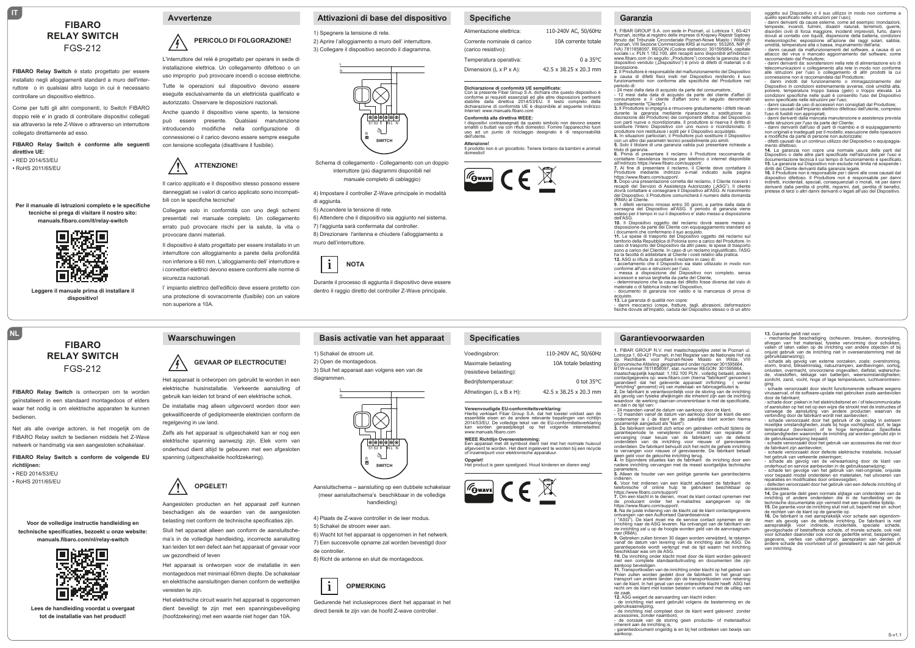# **FIBARO RELAY SWITCH** FGS-212

#### **FIBARO Relay Switch** è stato progettato per essere installato negli alloggiamenti standard a muro dell'interruttore o in qualsiasi altro luogo in cui è necessario controllare un dispositivo elettrico.

Come per tutti gli altri componenti, lo Switch FIBARO doppio relè e' in grado di controllare dispositivi collegati sia attraverso la rete Z-Wave o attraverso un interruttore collegato direttamente ad esso.

**FIBARO Relay Switch è conforme alle seguenti direttive UE:** • RED 2014/53/EU

• RoHS 2011/65/EU

**IT**

**Per il manuale di istruzioni completo e le specifiche tecniche si prega di visitare il nostro sito: manuals.fibaro.com/it/relay-switch**



**Leggere il manuale prima di installare il dispositivo!**

# **FIBARO RELAY SWITCH** FGS-212

**FIBARO Relay Switch** is ontworpen om te worden geïnstalleerd in een standaard montagedoos of elders waar het nodig is om elektrische apparaten te kunnen bedienen.

Net als alle overige actoren, is het mogelijk om de FIBARO Relay switch te bedienen middels het Z-Wave netwerk or handmatig via een aangesloten schakelaar.

**FIBARO Relay Switch s conform de volgende EU richtlijnen:** • RED 2014/53/EU

• RoHS 2011/65/EU

**NL**

#### **Voor de volledige instructie handleiding en technische specificaties, bezoekt u onze website: manuals.fibaro.com/nl/relay-switch**



Lees de handleiding voordat **u** overgaa **tot de installatie van het product!**

#### **Avvertenze**

### $\bigwedge$ **PERICOLO DI FOLGORAZIONE!**

 L'interruttore del relè è progettato per operare in sede di installazione elettrica. Un collegamento difettoso o un uso improprio può provocare incendi o scosse elettriche. Tutte le operazioni sul dispositivo devono essere eseguite esclusivamente da un elettricista qualificato e autorizzato. Osservare le disposizioni nazionali.

Anche quando il dispositivo viene spento, la tensione può essere presente. Qualsiasi manutenzione introducendo modifiche nella configurazione di connessionei o il carico devono essere sempre eseguite con tensione scollegata (disattivare il fusibile).

### **! ATTENZIONE!**

 danneggiati se i valori di carico applicato sono incompati-Il carico applicato e il dispositivo stesso possono essere bili con le specifiche tecniche!

Collegare solo in conformità con uno degli schemi presentati nel manuale completo. Un collegamento errato può provocare rischi per la salute, la vita o provocare danni materiali.

Il dispositivo è stato progettato per essere installato in un interruttore con alloggiamento a parete della profondità non inferiore a 60 mm. L'alloggiamento dell' interruttore e i connettori elettrici devono essere conformi alle norme di sicurezza nazionali.

l' impianto elettrico dell'edificio deve essere protetto con una protezione di sovracorrente (fusibile) con un valore non superiore a 10A.

 Het apparaat is ontworpen om gebruikt te worden in een

elektrische huisinstallatie. Verkeerde aansluiting of gebruik kan leiden tot brand of een elektrische schok. De installatie mag alleen uitgevoerd worden door een gekwalificeerde of gediplomeerde elektricien conform de

Zelfs als het apparaat is uitgeschakeld kan er nog een elektrische spanning aanwezig zijn. Elek vorm van onderhoud dient altijd te gebeuren met een afgesloten

 beschadigen als de waarden van de aangesloten

Aangesloten producten en het apparaat zelf kunnen belasting niet conform de technische specificaties zijn. Sluit het apparaat alleen aan conform de aansluitschema's in de volledige handleiding, incorrecte aansluiting kan leiden tot een defect aan het apparaat of gevaar voor

Het apparaat is ontworpen voor de installatie in een montagedoos met minimaal 60mm diepte. De schakelaar en elektrische aansluitingen dienen conform de wettelijke

Het elektrische circuit waarin het apparaat is opgenomen dient beveiligt te zijn met een spanningsbeveiliging (hoofdzekering) met een waarde niet hoger dan 10A.

**OPGELET!**

spanning (uitgeschakelde hoofdzekering).

**!**

regelgeving in uw land.

 $\big/$ 

**Waarschuwingen**

uw gezondheid of leven

vereisten te zijn.

**GEVAAR OP ELECTROCUTIE!**

# **Attivazioni di base del dispositivo**

1) Spegnere la tensione di rete. 2) Aprire l'alloggiamento a muro dell' interruttore. 3) Collegare il dispositivo secondo il diagramma.

> L N



#### Schema di collegamento - Collegamento con un doppio interruttore (più diagrammi disponibili nel manuale completo di cablaggio)

4) Impostare il controller Z-Wave principale in modalità di aggiunta.

5) Accendere la tensione di rete. 6) Attendere che il dispositivo sia aggiunto nel sistema. 7) l'aggiunta sarà confermata dal controller. 8) Direzionare l'antenna e chiudere l'alloggiamento a muro dell'interruttore.



 dentro il raggio diretto del controller Z-Wave principale. Durante il processo di aggiunta il dispositivo deve essere

### **Basis activatie van het apparaat**

1) Schakel de stroom uit. 2) Open de montagedoos. 3) Sluit het apparaat aan volgens een van de diagrammen.

N



Aansluitschema – aansluiting op een dubbele schakelaar (meer aansluitschema's beschikbaar in de volledige handleiding)

4) Plaats de Z-wave controller in de leer modus. 5) Schakel de stroom weer aan. 6) Wacht tot het apparaat is opgenomen in het netwerk. 7) Een succesvolle opname zal worden bevestigd door de controller.

8) Richt de antenne en sluit de montagedoos.



 direct bereik te zijn van de hoofd Z-wave controller. Gedurende het inclusieproces dient het apparaat in het

## **Specifiche**

| Alimentazione elettrica:    | 110-240V AC, 50/60Hz               |
|-----------------------------|------------------------------------|
| Corrente nominale di carico | 10A corrente totale                |
| (carico resistivo):         |                                    |
| Temperatura operativa:      | 0 a $35^{\circ}$ C                 |
| Dimensioni (L x P x A):     | $42.5 \times 38.25 \times 20.3$ mm |
|                             |                                    |

**Dichiarazione di conformità UE semplificata:**<br>Con la presente Fibar Group S.A. dichiara che questo dispositivo è<br>conforme ai requisiti essenziali ed alle altre disposizioni pertinenti<br>stabilite dalla direttiva 2014/53/EU. dichiarazione di conformità UE è disponibile al seguente indirizzo Internet: www.manuals.fibaro.com

dell'utente.

**Specificaties**

Voedingsbron: Maximale belasting (resistieve belasting): Bedrijfstemperatuur: Afmetingen (L x B x H):

**Conformità alla direttiva WEEE:**<br>I dispositivi contrassegnati da questo simbolo non devono essere<br>smaltiti o buttati via con rifiuti domestici. Fornire l'apparecchio fuori<br>uso ad un punto di riciclaggio designato è

**Attenzione!** Il prodotto non è un giocattolo. Tenere lontano da bambini e animali domestici!





dovrà contattare e consegnare il Dispositivo all'ASG. Al ricevimento del Dispositivo, il Produttore comunicherà il numero della domanda (RMA) al Cliente.<br>9. I difetti verranno rimossi entro 30 giorni, a partire dalla data di<br>consegna del Dispositivo all'ASG. ll periodo di garanzia viene<br>esteso per il tempo in cui il dispositivo e' stato messo a dispo dell'ASG.<br>**10.** Il Dispositivo oggetto del reclamo dovrà essere messo a<br>disposizione da parte del Cliente con equipaggiamento standard ed i documenti che confermano il suo acquisto.

110-240V AC, 50/60Hz 10A totale belasting

42.5 x 38.25 x 20.3 mm

**Vereenvoudigde EU-conformiteitsverklaring:** Hierbij verklaart Fibar Group S.A. dat het toestel voldoet aan de<br>essentiële eisen en de andere relevante bepalingen van richtlijn<br>2014/53/EU. De volledige tekst van de EU-conformiteitsverklaring<br>kan worden geraadpleegd op

**WEEE Richtlijn Overeenstemming:**  Een apparaat met dit symbool dient niet met het normale huisvuil afgevoerd te worden. Het dient ingeleverd te worden bij een recycle of inzamelpunt voor elektronische apparatuur. **Opgelet!**<br>Het product is geen speelgoed. Houd kinderen en dieren weg!

 $\boxed{\mathcal{F}_{\text{Gwav}}$   $\subset$   $\in$   $\mathbb{R}$ 

0 tot 35°C

**11.** Le spese di trasporto del Dispositivo oggetto del reclamo sul territorio della Repubblica di Polonia sono a carico del Produttore. In<br>caso di trasporto del Dispositivo da altri paesi, le spese di trasporto<br>sono a carico del Cliente. In caso di un reclamo ingiustificato, l'ASG<br>ha la f

**12.** ASG si rifiuta di accettare il reclamo in caso di:<br>- accertamento che il Dispositivo sia stato utilizzato in modo non<br>conforme all'uso e istruzioni per l'uso, omomic aliuso e isuuzioni per ruso,<br>- messa a disposizione, del Dispositivo, non completo, senza

accessori e senza targhetta da parte del Cliente, - determinazione che la causa del difetto fosse diversa dal vizio di

materiale o di fabbrica insito nel Dispositivo, - documento di garanzia non valido e la mancanza di prova di

acquisto. **13.** La garanzia di qualità non copre:

**Garanzia**

**1.** FIBAR GROUP S.A. con sede in Poznań, ul. Lotnicza 1, 60-421 Poznań, iscritta al registro delle imprese di Krajowy Rejestr Sądowy tenuto dal Tribunale Circondariale Poznań-Nowe Miasto i Wilda di Poznań, VIII Sezione Commerciale KRS al numero: 553265, NIP (P.<br>IVA) 7811858097, REGON (Codice statistico): 301595664, capitale<br>sociale i.v. PLN 1.182.100, altri recapiti sono disponibili all'indirizzo:<br>www.fibaro.com (in lavorazione. **2.** Il Produttore è responsabile del malfunzionamento del Dispositivo a causa di difetti fisici insiti nel Dispositivo rendendo il suo funzionamento non conforme alle specifiche del Produttore nel periodo di.<br>- 24 mesi dalla data di acquisto da parte del consumatore - 24 mesi dalla data di acquisto da parte del consumatore, - 12 mesi dalla data di acquisto da parte del cliente d'affari (il consumatore e il cliente d'affari sono in seguito denominati collettivamente "Cliente"). **3.** Il Produttore si impegna a rimuovere gratuitamente i difetti rilevati durante la garanzia mediante riparazione o sostituzione (a discrezione del Produttore) dei componenti difettosi del Dispositi con parti nuove o ricondizionate. Il produttore si riserva il diritto di sostituire l'intero Dispositivo con uno nuovo o ricondizionato. Il<br>produttore non restituisce i soldi per il Dispositivo acquistato.<br>**4.** In situazioni particolari, il Produttore può sostituire il Dispositivo con un altro dai parametri tecnici possibilmente più simili. **5.** Solo il titolare di una garanzia valida può presentare richieste a titolo di garanzia. **6.** Prima di presentare il reclamo il Produttore raccomanda di contattare l'assistenza tecnica per telefono o internet disponibile all'indirizzo https://www.fibaro.com/support/. 7. Al fine di presentare il reclamo, il Cliente deve contattare il<br>Produttore mediante indirizzo e-mail indicato sulla pagina<br>https://www.fibaro.com/support/.<br>8. Dopo una presentazione corretta del reclamo, il Cliente rice

- danni meccanici (crepe, fratture, tagli, abrasioni, deformazioni fisiche dovute all'impatto, caduta del Dispositivo stesso o di un altro

#### **Garantievoorwaarden**

1. FIBAR GROUP N.V. met maatschappelijke zetel te Poznań ul.<br>Lotnicza 1, 60-421 Poznań, in het Register van de Nationale Hof via<br>de Rechtbank voor Poznań-Nowe Miasto en Wilda, VIII<br>Economische Afdeling geregistreerd onder

garandeert dat het geleverde apparaat/ inrfichting ( verder "inrichting" genoemd) vrij van materiaal- en fabricagefouten is. **2.** De fabrikant is verantwoordelijk voor de storing van de inrichting

als gevolg van fysieke afwijkingen die inherent zijn aan de inichting waardoor de werking daarvan onvereninbaar is met de specificatie, en dat n de tijd van:<br>- 24 maanden vanaf de datum van aankoop door de klant,<br>- 12 maanden vanaf de datum van aankoop door de klant die een<br>ondernemer is ( de klant en de zakelijke klant worden hierna

gezamenlijk aangeduid als "klant").<br>3. De fabrikant verbindt zich ertoe om gebreken onthuld tijdens de

3. De fabrikant verbindt zich ertoe om gebreken onthuld tijdens de<br>garantieperiode te verwijderen door middel van reparatie of<br>ordranging (naar keuze van de fabrikant) van de defecte<br>onderdelen van de inrichting voor nieuw

nadere inrichting vervangen met de meest soortgelijke technische parameters.

**5.** Alleen de houder van een geldige garantie kan garantieclaims

indienen. **6.** Voor het indienen van een klacht adviseert de fabrikant de toor het indichen van een klaant aaviseen de labintant de elefonische of online hulp te gebruiken beschikbaar op

https://www.fibaro.com/support/<br>**7.** Om een klacht in te dienen, moet de klant contact opnemen met<br>de producent onder het e-mailadres aangegeven op de https://www.fibaro.com/support/. **8.** Na de juiste indiening van de klacht zal de klant contactgegevens

juiste indiening van de kladnt zarde ki<br>in van een Authorised Garantieservice

( "ASG"). De klant moet me de service contact opnemen en de inrichting naar de ASG leveren. Na ontvangst van de fabrikant van de inrichting zal u op de hoogte worden geld van de aanvraagnummer (RMA). **9.** Gebreken zullen binnen 30 dagen worden verwijderd, te rekenen

vanaf de datum van levering van de inrichting aan de ASG. De garantieperiode wordt verlengd met de tijd waarin het inrichting

beschikbaar was om de ASG.<br>**10.** De inrichting onder klacht moet door de klant worden geleverd<br>met een complete standaarduitrusting en documenten die zijn

aankoop bevestigen.<br>11. Transportkosten van de inrichting onder klacht op het gebied van<br>Polen zullen worden gedekt door de fabrikant. In het geval van<br>transport van andere landen zijn de transportkosten voor rekening<br>van recht om de klant met kosten belaten in verband met de uitleg van de zaak. **12.** ASG weigert de aanvaarding van klacht indien:

- de inrichting niet werd gebruikt volgens de bestemming en de

gebruiksaanwijzing, - de inrichting niet compleet door de klant werd geleverd zonder

accessoires, zonder naambord, - de oorzaak van de storing geen productie- of materiaalfout

inherent aan de inrichting is, - garantiedocument ongeldig is en bij het ontbreken van bewijs van aankoop.

oggetto sul Dispositivo o il suo utilizzo in modo non conforme a quello specificato nelle istruzioni per l'uso);

- danni derivanti da cause esterne, come ad esempic innordazioni,<br>tempeste, incendi, fulmini, disastri naturali, terremoti, querre,<br>disordini civili di forza maggiore, incidenti imprevisti, furto, danni<br>dovuti al contatto

attacco del virus o mancato aggiornamento del software, come raccomandato dal Produttore;

- danni derivanti da: sovratensioni nella rete di alimentazione e/o di telecomunicazioni o collegamento alla rete in modo non conforme alle istruzioni per l'uso o collegamento di altri prodotti la cui

connessione non è raccomandata dal Produttore;<br>- danni indotti dal funzionamento o immagazzinamento del<br>Dispositivo in condizioni estremamente avverse, cioè umidità alta,<br>polvere, temperatura troppo bassa (gelo) o troppo e condizioni specifiche nelle quali è consentito l'uso del Dispositivo sono specificate nelle istruzioni per l'uso;

- danni causati da uso di accessori non consigliati dal Produttore;<br>- danni causati dall'impianto elettrico difettoso dell'utente, compreso<br>l'uso di fusibili non appropriati;

- danni derivanti dalla mancata manutenzione e assistenza prevista<br>nelle istruzioni per l'uso da parte del Cliente;<br>- danni derivanti dall'uso di parti di ricambio e di equipaggiamento<br>non originali e inadeguati per il mod

e modifiche da parte di persone non autorizzate;<br>- difetti causati da un continuo utilizzo del Dispositivo o equipaggia-<br>mento difettoso.

**14.** La garanzia non copre una normale usura delle parti del Dispositivo o delle altre parti specificate nell'istruzione per l'uso e<br>documentazione tecnica il cui tempo di funzionamento è specificato.<br>15. La garanzia sul Dispositivo non esclude ne limita né sospende i<br>diritti del Cl

dispositivo difettoso. Il Produttore non è responsabile per danni indiretti, incidentali, speciali, consequenziali o morali, né per danni derivanti dalla perdita di profitti, risparmi, dati, perdita di benefici, pretese di terzi o altri danni derivanti o legati all'uso del Dispositivo.

**13.** Garantie geldt niet voor: - mechanische beschadiging (scheuren, breuken, doorsnijding,<br>afvegen van het materiaal, fysieke vervorming door schokken,<br>vallen of laten vallen op de inrichting van andere objecten of bij<br>onjuist gebruik van de inrichting

gebruiksaanwizing); - schade als gevolg van externe oorzaken, zoals: overstroming, storm, brand, blikseminslag, natuurrampen, aardbevingen, oorlog,<br>onlusten, overmacht, onvoorziene ongevallen, diefstal, waterscha-<br>de, vloestoffen, lekkage van batterijen, weersomstandigheden;<br>zonlicht, zand, vocht, hoge o

ging; - schade veroorzaakt door slecht functionerende software wegens virusaanval, of de software-update niet gebruiken zoals aanbevolen

door de fabrikant; - schade door: pieken in het elektriciteitsnet en / of telecommunicatie of aansluiten op het net op een wijze die strookt met de instructies of vanwege de aansluiting van andere producten waarvan de<br>vanwege de aansluiting van andere producten waarvan de<br>verbinding door de fabrikant wordt niet aanbevolen:

verbinding door de fabrikant wordt niet aanbevolen;<br>- schade veroorzaakt door het gebruik of de opslag in extreem<br>moeilijke omstandigheden, zoals bij hoge vochtigheid, stof, te lage<br>temperatuur (bevriezen) of te hoge tempe

de gebruiksaanwijzing bepaald; - schade veroorzaakt door het gebruik van accessoires die niet door

de fabrikant zijn aanbevolen;<br>e-schade veroorzaakt door defecte elektrische installatie, inclusief<br>het gebruik van verkeerde zekeringen;<br>- schade als gevolg van de verwaarlosing door de klant van<br>onderhoud en service aanbe

reparaties en modificaties door onbevoegden; - defecten veroorzaakt door het gebruik van een defecte inrichting of

accessoires. **14.** De garantie dekt geen normale slijtage van onderdelen van de inrichting of andere onderdelen die in de handleiding en de

technische documentatie zijn vermeld met een specifieke tijdstip. **15.** De garantie voor de inrichting sluit niet uit, beperkt niet en schort de rechten van de klant op de garantie op. **16.** De fabrikant is niet aansprakelijk voor schade aan eigendom-

men als gevolg van de defecte inrichting. De fabrikant is niet aansprakelijk voor indirecte, incidentele, speciale schade, gevolgschade of bestraffende schade, of morele schade, ook niet voor schaden daaronder ook voor de gederfde winst, besparingen, gegevens, verlies van uitkeringen, aanspraken van derden of andere schade die voortvloeit uit of gerelateerd is aan het gebruik van inrichting.

S-v1.1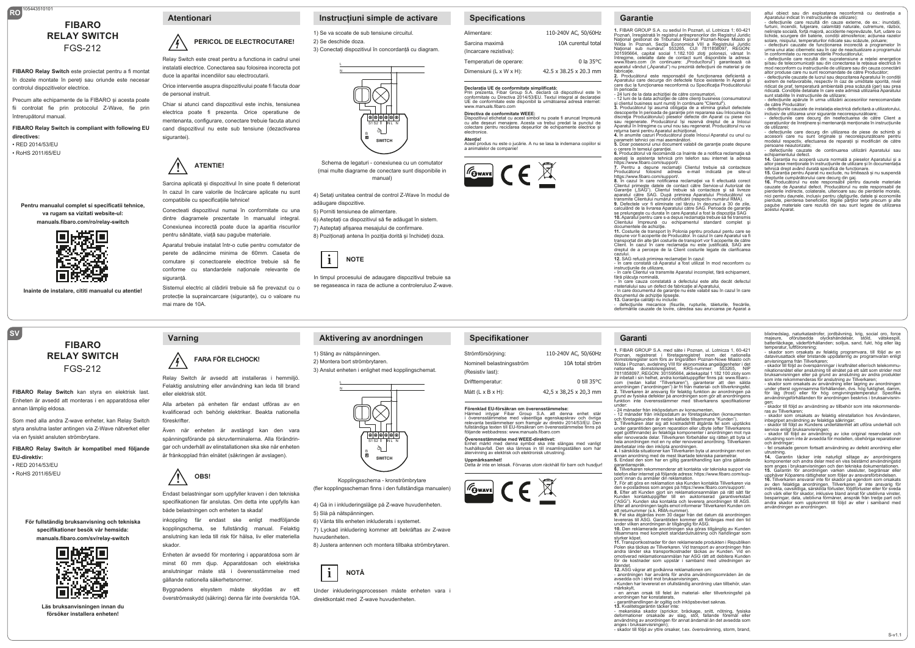# **RO** 105443510101 **FIBARO RELAY SWITCH** FGS-212

**FIBARO Relay Switch** este proiectat pentru a fi montat în dozele montate în pereți sau oriunde este necesar controlul dispozitivelor electrice.

Precum alte echipamente de la FIBARO și acesta poate fii controlat fie prin protocolul Z-Wave, fie prin întrerupătorul manual.

**FIBARO Relay Switch is compliant with following EU directives:** • RED 2014/53/EU

• RoHS 2011/65/EU

**Pentru manualul complet si specificatii tehnice, va rugam sa vizitati website-ul: manuals.fibaro.com/ro/relay-switch**



**Inainte de instalare, cititi manualul cu atentie!**

# **FIBARO RELAY SWITCH** FGS-212

**FIBARO Relay Switch** kan styra en elektrisk last. Enheten är avsedd att monteras i en apparatdosa eller annan lämplig eldosa.

Som med alla andra Z-wave enheter, kan Relay Switch styra anslutna laster antingen via Z-Wave nätverket eller via en fysiskt ansluten strömbrytare.

**FIBARO Relay Switch är kompatibel med följande EU-direktiv:**

• RED 2014/53/EU • RoHS 2011/65/EU

**SV**

#### **För fullständig bruksanvisning och tekniska specifikationer besök vår hemsida: manuals.fibaro.com/sv/relay-switch**



**Läs bruksanvisningen innan du försöker installera enheten!**

# /•} **PERICOL DE ELECTROCUTARE!**

 Relay Switch este creat pentru a functiona in cadrul unei instalatii electrice. Conectarea sau folosirea incorecta pot duce la aparitai incendiilor sau electrocutarii.

Orice interventie asupra dispozitivului poate fi facuta doar de personal instruit.

Chiar si atunci cand dispozitivul este inchis, tensiunea electrica poate fi prezenta. Orice operatiune de mentenanta, configurare, conectare trebuie facuta atunci cand dispozitivul nu este sub tensiune (dezactivarea sigurantei).

### **! ATENTIE!**

 în cazul în care valorile de încărcare aplicate nu sunt Sarcina aplicată și dispozitivul în sine poate fi deteriorat compatibile cu specificațiile tehnice!

Conecteati dispozitivul numai în conformitate cu una dintre diagramele prezentate în manualul integral. Conexiunea incorectă poate duce la aparitia riscurilor pentru sănătate, viață sau pagube materiale.

Aparatul trebuie instalat într-o cutie pentru comutator de perete de adâncime minima de 60mm. Caseta de comutare și conectoarele electrice trebuie să fie conforme cu standardele naționale relevante de siguranță.

Sistemul electric al clădirii trebuie să fie prevazut cu o protecție la supraincarcare (siguranțe), cu o valoare nu mai mare de 10A

 Relay Switch är avsedd att installeras i hemmiljö.

**FARA FÖR ELCHOCK!**

Felaktig anslutning eller användning kan leda till brand

Alla arbeten på enheten får endast utföras av en kvalificerad och behörig elektriker. Beakta nationella

Även när enheten är avstängd kan den vara spänningsförande på skruvterminalerna. Alla förändringar och underhåll av elinstallationen ska ske när enheten är frånkopplad från elnätet (säkringen är avslagen).

 specifikationen får anslutas. Om detta inte uppfylls kan

inkoppling får endast ske enligt medföljande kopplingschema, se fullständig manual. Felaktig anslutning kan leda till risk för hälsa, liv eller materiella

Enheten är avsedd för montering i apparatdosa som är minst 60 mm djup. Apparatdosan och elektriska anslutningar måste stå i överensstämmelse med

Byggnadens elsystem måste skyddas av ett överströmsskydd (säkring) denna får inte överskrida 10A.

Endast belastningar som uppfyller kraven i den tekniska

**!**

eller elektrisk stöt.

**Varning**

föreskrifter

skador.

**OBS!**

både belastningen och enheten ta skada!

gällande nationella säkerhetsnormer.

## **Instrucțiuni simple de activare Atentionari Garantie**

1) Se va scoate de sub tensiune circuitul. 2) Se deschide doza.

> L N

3) Conectați dispozitivul în concordanță cu diagram.



Schema de legaturi - conexiunea cu un comutator (mai multe diagrame de conectare sunt disponibile in manual)

4) Setați unitatea central de control Z-Wave în modul de adăugare dispozitive. 5) Porniti tensiunea de alimentare.

6) Asteptați ca dispozitivul să fie adăugat în sistem. 7) Asteptați afișarea mesajului de confirmare. 8) Pozitionati antena în pozitia dorită și închideti doza.



L N

 se regaseasca in raza de actiune a controleruluo Z-wave. In timpul procesului de adaugare dispozitivul trebuie sa

### **Aktivering av anordningen**

1) Stäng av nätspänningen. 2) Montera bort strömbrytaren. 3) Anslut enheten i enlighet med kopplingschemat.



Kopplingsschema - kronströmbrytare (fler kopplingsscheman finns i den fullständiga manualen)

4) Gå in i inkluderingsläge på Z-wave huvudenheten. 5) Slå på nätspänningen. 6) Vänta tills enheten inkluderats i systemet.

7) Lyckad inkludering kommer att bekräftas av Z-wave huvudenheten. 8) Justera antennen och montera tillbaka strömbrytaren.



 direktkontakt med Z-wave huvudenheten. Under inkluderingsprocessen måste enheten vara i

### **Specifications**

| Alimentare:                              | 110-240V AC, 50/60Hz               |
|------------------------------------------|------------------------------------|
| Sarcina maximă<br>(Incarcare rezistiva): | 10A curentul total                 |
| Temperaturi de operare:                  | $0$ la 35 °C                       |
| Dimensiuni (L x W x H):                  | $42.5 \times 38.25 \times 20.3$ mm |

**Declarația UE de conformitate simplificată:**<br>Prin prezenta, Fibar Group S.A. declară că dispozitivul este în<br>conformitate cu Directiva 2014/53/EU. Textul integral al declarației UE de conformitate este disponibil la următoarea adresă internet: www.manuals.fibaro.com

**Specifikationer**

Strömförsörjning: Nominell belastningsström (Resistiv last): Drifttemperatur: Mått (L x B x H):

**Uppmärksamhet!**

**Directiva de conformitate WEEE:**<br>Dispozitivul etichetat cu acest simbol nu poate fi aruncat împreună<br>cu alte deșeuri menajere. Acesta va trebui predat la punctul de<br>colectare pentru reciclarea deșeurilor de echipamente el

electronice. **Atenţie!** Acest produs nu este o jucărie. A nu se lasa la indemana copiilor si

preses na sense<br>nalelor de compa









**1.** FIBAR GROUP S.A. cu sediul în Poznań, ul. Lotnicza 1; 60-421 Poznań, înregistrată în registrul antreprenorilor din Registrul Juridic Naţional gestionat de Tribunalul Raional Poznań-Nowe Miasto şi

Wilda în Poznań, Secţia Economică VIII a Registrului Juridic Naţional sub numărul: 553265, CUI 7811858097, REGON: 301595664, capital social 1.182.100 zloți polonezi, vărsat în<br>întregime, celelalte date de contact sunt disponibile la adresa:<br>www.fibaro.com (în continuare: "Producîtorul") garantează că<br>aparatul vândut ("Aparatul") nu pr fabricaţie. **2.** Producătorul este responsabil de funcţionarea deficientă a

Aparatului care decurge din defectele fizice existente în Aparat s care duc la funcționarea neconformă cu Specificația Producătorulu n penoada.<br>- 24 Iuni de la data achizitiei de către consumatori

- 24 luni de la data achiziției de către consumatori,<br>- 12 luni de la data achiziției de către clienți business (consumatorul<br>și clientul business sunt numiți în continuare "Clientul").<br>3. Producătorul își asumă obligația

descoperite în perioada de garanție prin repararea sau înlocuirea (la<br>discreția Producătorului) pieselor defecte din Aparat cu piese noi<br>sau regenerate. Producătorul își rezervă dreptul de a înlocui

Aparatul în întregime cu unul nou sau regenerat. Producătorul nu va<br>returna banii pentru Aparatul achiziționat.<br>4. În anumite cazuri Producătorul poate înlocui Aparatul cu unul cu<br>parametri tehnici cei mai asemânători.<br>5. parametri tennici cei mai asei<br>5. Doar posesorul unui docur<br>o cerere în temeiul garanției.

**6.** Producătorul vă recomandă ca înainte de a notifica reclamaţia să<br>apelaţi la asistenţa tehnică prin telefon sau internet la adresa https://www.fibaro.com/support/. ntps.//www.iibaro.com/supporu.<br>7. Pentru a depune reclamaţii Clientul trebuie să contacteze<br>Producătorul folosind adresa e-mail indicată pe site-ul

Producătorul folosind adresa e-mail indicată pe site-ul<br>Artou-Zionul folosind adresa reclamației va fi efectutată corect.<br>S. În cazul în care notificarea reclamației va fi efectutată corect.<br>Clientul primește datele de con

calculând de la livrarea Aparatului către SAC. Perioada de garanție se prelungește cu durata în care Aparatul a fost la dispoziția SAG<br>10. Aparatul pentru care s-a depus reclamația trebuie să fie transmis<br>Clientului impreu depune vor fi acoperite de Producător. În cazul în care Aparatul va fi<br>transportat din alte țări costurile de transport vor fi acoperite de către<br>Client În cazul în care reclamatia nu este iustificată. SAG are Client. În cazul în care reclamaţia nu este justificată, SAG are dreptul de a percepe de la Client costurile legate de clarificarea

cazului.<br>12. SAG refuză primirea reclamației în cazul:<br>- în care constată că Aparatul a fost utilizat în mod neconform cu<br>instrucțiunile de utilizare,<br>- în care Clientul va transmite Aparatul incomplet, fără echipament,

fără plăcuţa nominală, - în care cauza constatată a defectului este alta decât defectul materialului sau un defect de fabricatie al Aparatului

- în care documentul de garanţie nu este valabil sau în cazul în care documentul de achiziţie lipseşte.

**13.** Garanţia calităţii nu include: - defecţiunile mecanice (fisurile, rupturile, tăieturile, frecările, deformările cauzate de lovire, căredea sau aruncarea pe Aparat a

### **Garanti**

110-240V AC, 50/60Hz 10A total ström

42,5 x 38,25 x 20,3 mm

Förenklad EU-försäkran om överensstämmelse:<br>Härmed intygar Fibar Group S.A. att denna enhet står<br>i överensstämmelse med väsentliga egenskapskrav och övriga<br>relevanta bestämmelser som framgår av direktiv 2014/53/EU. Den<br>ful

**Overensstämmelse med WEEE-direktivet:**<br>Enhet märkt med denna symbol ska inte slängas med vanligt<br>hushållsavfall. Den ska lämnas in till insamlingsställen som har<br>återvinning av elektrisk och elektronisk utrustning.

Detta är inte en leksak. Förvaras utom räckhåll för barn och husdjur!

följande webbadress: www.manuals.fibaro.com

 $\boxed{\mathcal{F}_{\text{Gwavel}}}$   $\subset$   $\in$   $\mathbb{R}$ 

0 till 35°C

## **1.** FIBAR GROUP S.A. med säte i Poznan, ul. Lotnicza 1, 60-421 Poznan, registrerat i företagsregistret inom det nationella<br>domstolsregister som förs av tingsrätten Poznan-Nowe Miasto och domstolsregister som förs av tingsrätten Poznan-Nowe Miasto och<br>Wilda i Poznan, avdelning VIII för ekonomiska angelägenheter i det<br>nationella adomstolsregistret, KRS-nummer: 553265, NIP<br>7811858097, REGON: 301595664, aktiek com (nedan kallat "Tillverkaren"), garanterar att den sålda anordningen ("anordningen") är fri från material- och tillverkningsfel. **2.** Tillverkaren är ansvarig för felaktig funktion av anordningen på

grund av fysiska defekter på anordningen som gör att anordningens funktion inte överensstämmer med tillverkarens specifikationer under: - 24 månader från inköpsdatum av konsumenten,

- 12 månader från inköpsdatum av företagskunden (konsumenten och företagskunden är nedan kallade tillsammans "Kunden"). **3.** Tillverkaren åtar sig att kostnadsfritt åtgärda fel som upptäcks under garantitiden genom reparation eller utbyte (efter Tillverkarens<br>eget gottfinnande) av felaktiga komponenter i anordningen mot nva eget gottfinnande) av felaktiga komponenter i anordningen mot nya<br>eller renoverade delar. Tillverkaren förbehåller sig rätten att byta ut<br>hela anordningen mot en ny eller renoverad anordning. Tillverkaren<br>återbetalda situa

annan anordning med de mest likartade tekniska parametrar. **5.** Endast den som har en giltig garantihandling kan göra gällande

garantianspråk. **6.** Tillverkaren rekommenderar att kontakta vår tekniska support via

telefon eller internet på följande adress: https://www.fibaro.com/sup-<br>port/ innan du anmäler din reklamation.<br>7. För att göra en reklamation ska Kunden kontakta Tillverkaren via<br>den e-postadress som anges på https://www.f Kunden kontaktuppgifter till en auktoriserad garantiverkstad<br>("ASG"). Kunden ska kontakta och leverera anordningen till AGS.

("ASG"). Kunden ska kontakta och leverera anordningen till AGS.<br>Efter att anordningen tagits emot informerar Tillverkaren Kunden om<br>ett returnummer (s.k. FMA-nummer).<br>9. Fel ska åtgärdas inom 30 dagar från det datum då ano

styrker köpet. **11.** Transportkostnader för den reklamerade produkten i Republiken Polen ska täckas av Tillverkaren. Vid transport av anordningen från andra länder ska transportkostnader täckas av Kunden. Vid en andra länder ska transportkostnader täckas av Kunden. Vid en omotiverad reklamationsanmälan har ASG rätt att debitera Kunden för de kostnader som uppstår i samband med utredningen av

ärendet.<br>**12.** ASG vägrar att godkänna reklamationen om:<br>- anordningen har använts för andra användningsområden än de avsedda och i strid mot bruksanvisningen, - Kunden har levererat en ofullständig anordning utan tillbehör, utan

märkskylt,<br>märkskylt,<br>anordningen har konstalerats,<br>anordningen har konstalerats,<br>anordningen är ogiltig och inköpsbeviset saknas.<br>13. Kvalitelsgarantin täcker inte:<br>13. Kvalitelsgarantin täcker inte:<br>13. Kvalitelsgarantin

- skador till följd av yttre orsaker, t.ex. översvämning, storm, brand,

altui obiect sau din exploatarea neconformă cu destinația a Aparatului indicat în instrucțiunile de utilizare); paratului indicat în instrucțiunile de utilizare);<br>defecțiunile care rezultă din cauze externe, de ex.: inundații furtuni, incendii, fulgerare, calamități naturale, cutremure, război,<br>neliniste socială, fortă maioră, accidente neprevăzute, furt, udare cu neliniste socială, forță majoră, accidente neprevăzute, furt, udare cu<br>lichide, scurgere din baterie, condiții atmosferice; acțiunea razelor<br>solare, nisipului, temperaturilor ridicate sau scăzute, poluare;<br>- defecțiuni cau în conformitate cu recomandările Producătorului; - defecțiunile care rezultă din: supratensiune a rețelei energetice și/sau de telecomunicații sau din conectarea la rețeaua electrică în mod neconform cu instrucțiunile de utilizare sau din cauza conectării<br>altor produse care nu sunt recomandate de către Producător: altor produse care nu sunt recomandate de către Producător;<br>- defecțiunile cauzate de lucrul sau depozitarea Aparatului în condiții<br>extrem de nefavorabile, respectiv în caz de umiditate sporită, nivel<br>ridicat de praf, temp sunt stabilite în instrucțiunile de utilizare; - defecțiunile apărute în urma utilizării accesoriilor nerecomandate de către Producător;<br>
- defectiunile cauzate de instalatia electrică deficitară a utilizatorului - defecțiunile cauzate de instalația electrică deficitară a utilizatorului,<br>inclusiv de utilizarea unor siguranțe necorespunzătoare;<br>- defecțiunile care decurg din neefectuarea de către Client a<br>operațiunilor de înreținere - defecțiunile care decurg din utilizarea de piese de schimb și accesorii care nu sunt originale și necorespunzătoare pentru modelul respectiv, efectuarea de reparații și modificări de către

- defecțiunile cauzate de continuarea utilizării Aparatului sau echipamentului defect. **14.** Garanția nu acoperă uzura normală a pieselor Aparatului și a altor piese menționate în instrucțiunile de utilizare și în documentația<br>tehnică drept având durată specifică de funcționare.<br>**15.** Garanția pentru Aparat nu exclude, nu limitează și nu suspendă drepturile cumpărătorului care decurg din gaj.<br>**16.** Producătorul nu este responsabil pentru daunele materiale<br>cauzate de Aparatul defect. Producătorul nu este responsabil de

pierderile indirecte, colaterale, ulterioare sau de pierderile morale,<br>nici pentru daunele, inclusiv pentru câștigurile, datele și economiile<br>pierdute, pierderea beneficilior, litigiile parților terțe precum și alte<br>pagube

persoane neautorizate;

blixtnedslag, naturkatastrofer, jordbävning, krig, social oro, force majeure, oförutsedda olyckshändelser, stöld, vätskespill, batteriläckage, väderförhållanden; solljus, sand, fukt, hög eller låg

temperatur, luftförorening; - skador som orsakats av felaktig programvara, till följd av en datavirusattack eller bristande uppdatering av programvaran enligt anvisningarna från Tillverkaren;

anvisningarna nän miverkaren,<br>- skador till följd av överspänningar i kraftnätet eller/och telekommu-<br>nikationsnätet eller anslutning till elnätet på ett sätt som strider mo

nikationsnätet eller anslutning till elnätet på ett sätt som strider mot<br>bruksanvisningen eller på grund av anslutning av andra produkter<br>som inte rekommenderas för anslutning av Tillverkaren;<br>- skador som orsakats av anvä användningsförhållanden för anordningen beskrivs i bruksanvisnin-

gen; - skador till följd av användning av tillbehör som inte rekommenderas av Tillverkaren; - skador som orsakats av felaktig elinstallation hos Användaren,

inbegripet användning av felaktiga säkringar; - skador till följd av Kundens underlåtenhet att utföra underhåll och

service enligt bruksanvisningen; - skador till följd av användning av icke original reservdelar och utrustning som inte är avsedda för modellen, obehöriga reparationer och ändringar;

- fel orsakade genom fortsatt användning av defekt anordning eller utrustning. **14.** Garantin täcker inte naturligt slitage av anordningens

komponenter och andra delar med en viss bestämd användningstid<br>som anges i bruksanvisningen och den tekniska dokumentationen.<br>**15.** Garantin för anordningen varken utesluter, begränsar eller<br>**15.** Garantin för anord

16. Tillverkaren ansvarar inte för skador på egendom som orsakats<br>av den felaktiga anordningen. Tillverkaren är inte ansvarig för<br>indirekta, oavsiktliga, särskilda förluster, följdförluster eller för sveda<br>och värk eller f andra skador som uppkommit till följd av eller i samband med användningen av anordningen.

S-v1.1